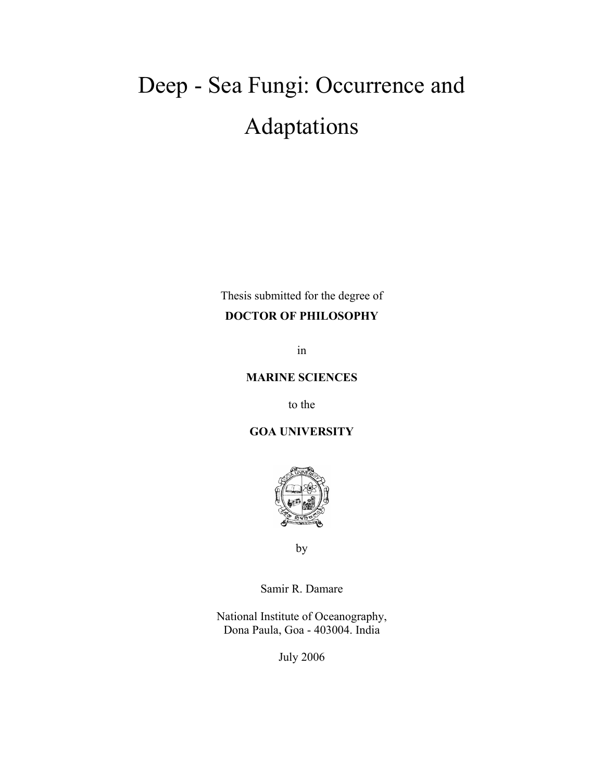### Deep - Sea Fungi: Occurrence and Adaptations

Thesis submitted for the degree of

#### **DOCTOR OF PHILOSOPHY**

in

#### **MARINE SCIENCES**

to the

**GOA UNIVERSITY** 



by

Samir R. Damare

National Institute of Oceanography, Dona Paula, Goa - 403004. India

July 2006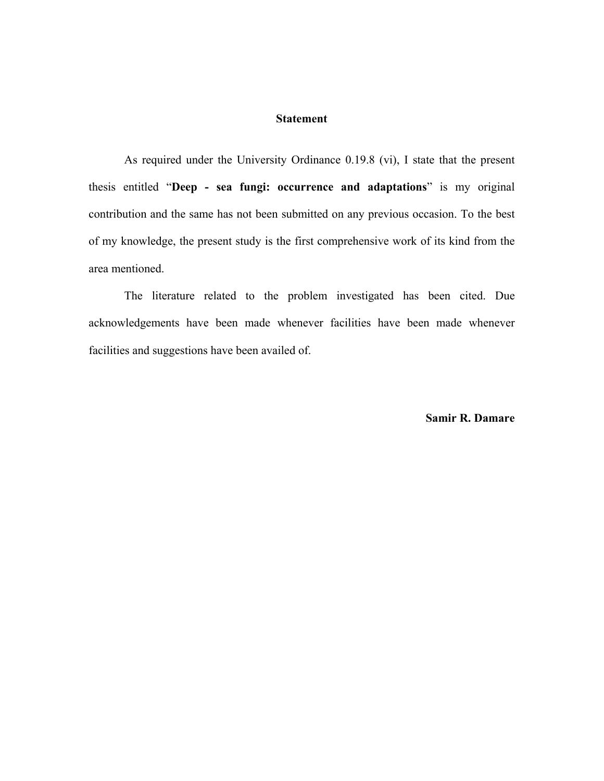#### **Statement**

As required under the University Ordinance 0.19.8 (vi), I state that the present thesis entitled "**Deep - sea fungi: occurrence and adaptations**" is my original contribution and the same has not been submitted on any previous occasion. To the best of my knowledge, the present study is the first comprehensive work of its kind from the area mentioned.

 The literature related to the problem investigated has been cited. Due acknowledgements have been made whenever facilities have been made whenever facilities and suggestions have been availed of.

**Samir R. Damare**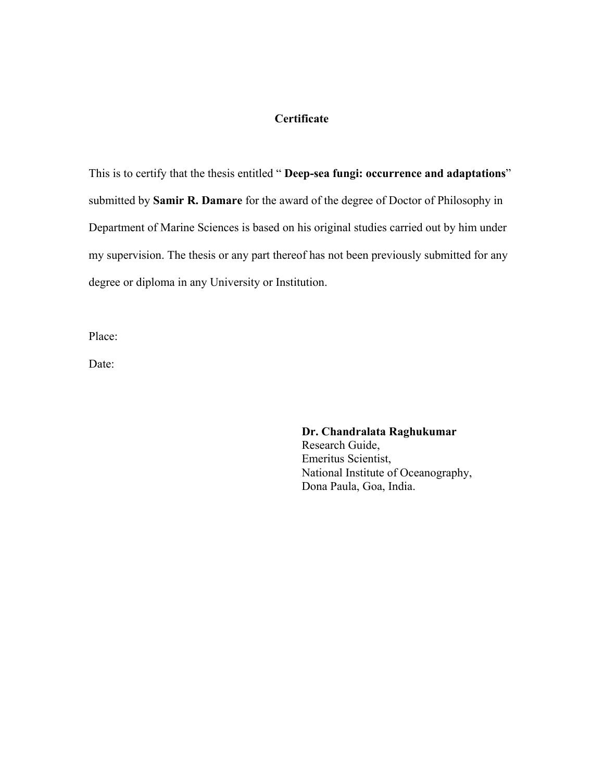#### **Certificate**

This is to certify that the thesis entitled " **Deep-sea fungi: occurrence and adaptations**" submitted by **Samir R. Damare** for the award of the degree of Doctor of Philosophy in Department of Marine Sciences is based on his original studies carried out by him under my supervision. The thesis or any part thereof has not been previously submitted for any degree or diploma in any University or Institution.

Place:

Date:

#### **Dr. Chandralata Raghukumar**

Research Guide, Emeritus Scientist, National Institute of Oceanography, Dona Paula, Goa, India.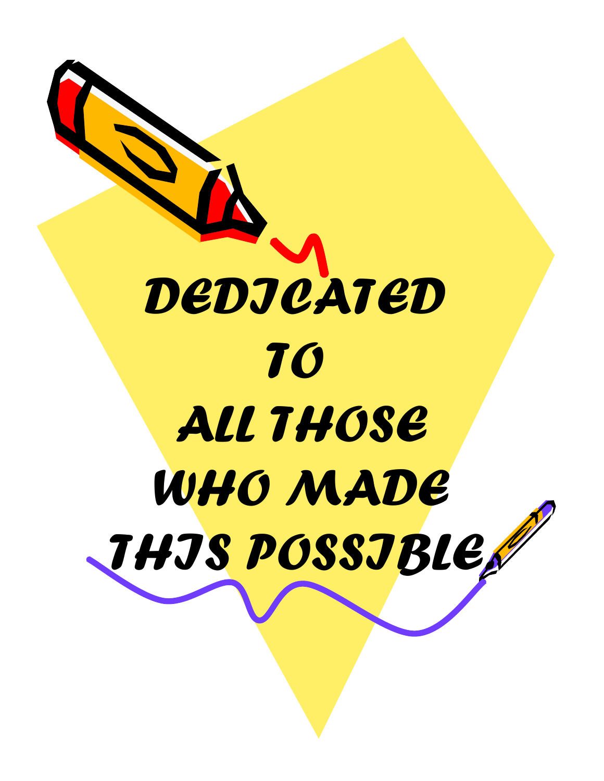# *DEDICATED TO ALL THOSE WHO MADE THIS POSSIBLE.*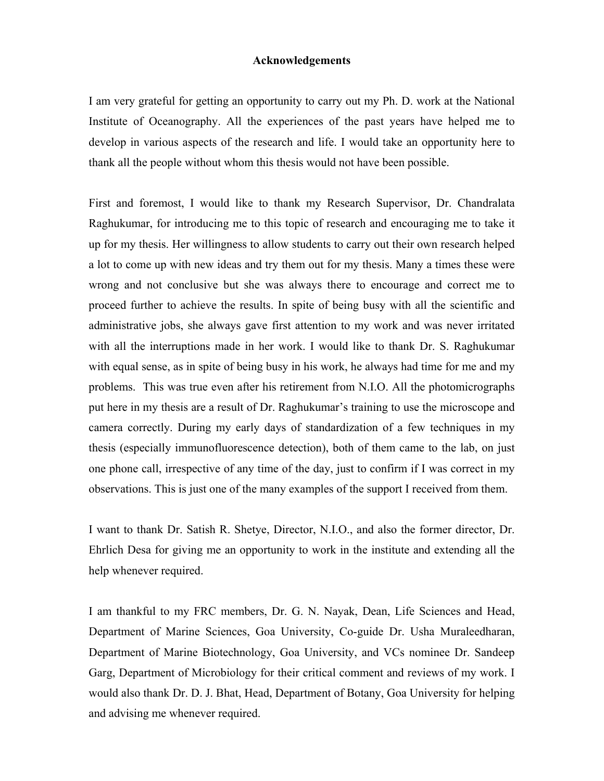#### **Acknowledgements**

I am very grateful for getting an opportunity to carry out my Ph. D. work at the National Institute of Oceanography. All the experiences of the past years have helped me to develop in various aspects of the research and life. I would take an opportunity here to thank all the people without whom this thesis would not have been possible.

First and foremost, I would like to thank my Research Supervisor, Dr. Chandralata Raghukumar, for introducing me to this topic of research and encouraging me to take it up for my thesis. Her willingness to allow students to carry out their own research helped a lot to come up with new ideas and try them out for my thesis. Many a times these were wrong and not conclusive but she was always there to encourage and correct me to proceed further to achieve the results. In spite of being busy with all the scientific and administrative jobs, she always gave first attention to my work and was never irritated with all the interruptions made in her work. I would like to thank Dr. S. Raghukumar with equal sense, as in spite of being busy in his work, he always had time for me and my problems. This was true even after his retirement from N.I.O. All the photomicrographs put here in my thesis are a result of Dr. Raghukumar's training to use the microscope and camera correctly. During my early days of standardization of a few techniques in my thesis (especially immunofluorescence detection), both of them came to the lab, on just one phone call, irrespective of any time of the day, just to confirm if I was correct in my observations. This is just one of the many examples of the support I received from them.

I want to thank Dr. Satish R. Shetye, Director, N.I.O., and also the former director, Dr. Ehrlich Desa for giving me an opportunity to work in the institute and extending all the help whenever required.

I am thankful to my FRC members, Dr. G. N. Nayak, Dean, Life Sciences and Head, Department of Marine Sciences, Goa University, Co-guide Dr. Usha Muraleedharan, Department of Marine Biotechnology, Goa University, and VCs nominee Dr. Sandeep Garg, Department of Microbiology for their critical comment and reviews of my work. I would also thank Dr. D. J. Bhat, Head, Department of Botany, Goa University for helping and advising me whenever required.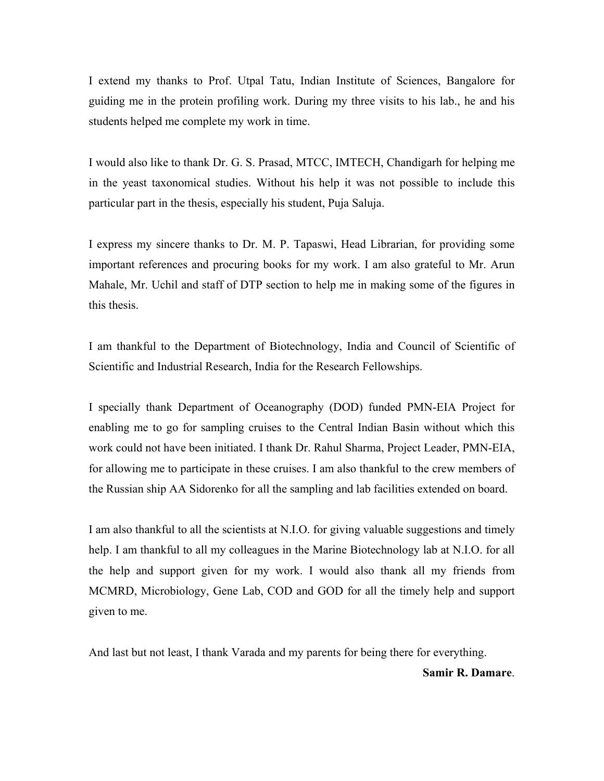I extend my thanks to Prof. Utpal Tatu, Indian Institute of Sciences, Bangalore for guiding me in the protein profiling work. During my three visits to his lab., he and his students helped me complete my work in time.

I would also like to thank Dr. G. S. Prasad, MTCC, IMTECH, Chandigarh for helping me in the yeast taxonomical studies. Without his help it was not possible to include this particular part in the thesis, especially his student, Puja Saluja.

I express my sincere thanks to Dr. M. P. Tapaswi, Head Librarian, for providing some important references and procuring books for my work. I am also grateful to Mr. Arun Mahale, Mr. Uchil and staff of DTP section to help me in making some of the figures in this thesis.

I am thankful to the Department of Biotechnology, India and Council of Scientific of Scientific and Industrial Research, India for the Research Fellowships.

I specially thank Department of Oceanography (DOD) funded PMN-EIA Project for enabling me to go for sampling cruises to the Central Indian Basin without which this work could not have been initiated. I thank Dr. Rahul Sharma, Project Leader, PMN-EIA, for allowing me to participate in these cruises. I am also thankful to the crew members of the Russian ship AA Sidorenko for all the sampling and lab facilities extended on board.

I am also thankful to all the scientists at N.I.O. for giving valuable suggestions and timely help. I am thankful to all my colleagues in the Marine Biotechnology lab at N.I.O. for all the help and support given for my work. I would also thank all my friends from MCMRD, Microbiology, Gene Lab, COD and GOD for all the timely help and support given to me.

And last but not least, I thank Varada and my parents for being there for everything.

**Samir R. Damare**.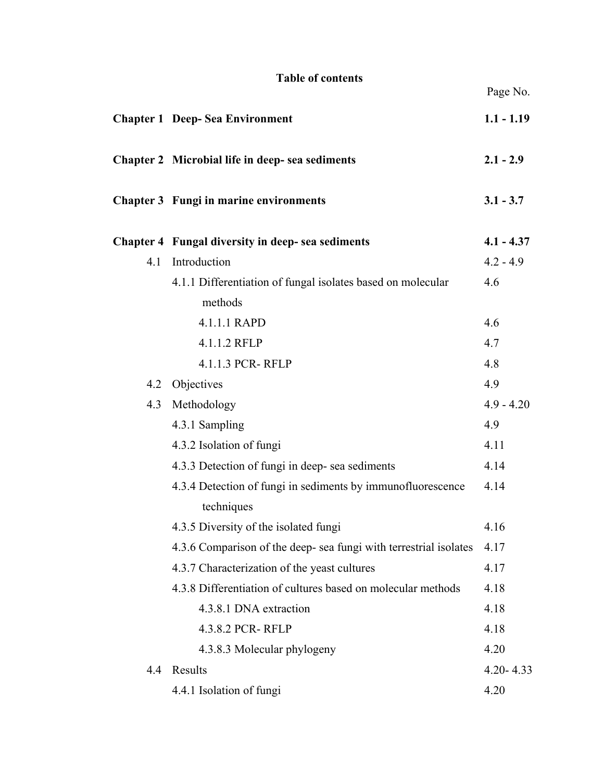#### **Table of contents**

|     | <b>Chapter 1 Deep-Sea Environment</b>                             | $1.1 - 1.19$  |
|-----|-------------------------------------------------------------------|---------------|
|     | Chapter 2 Microbial life in deep- sea sediments                   | $2.1 - 2.9$   |
|     | Chapter 3 Fungi in marine environments                            | $3.1 - 3.7$   |
|     | Chapter 4 Fungal diversity in deep- sea sediments                 | $4.1 - 4.37$  |
| 4.1 | Introduction                                                      | $4.2 - 4.9$   |
|     | 4.1.1 Differentiation of fungal isolates based on molecular       | 4.6           |
|     | methods                                                           |               |
|     | 4.1.1.1 RAPD                                                      | 4.6           |
|     | 4.1.1.2 RFLP                                                      | 4.7           |
|     | 4.1.1.3 PCR-RFLP                                                  | 4.8           |
| 4.2 | Objectives                                                        | 4.9           |
| 4.3 | Methodology                                                       | $4.9 - 4.20$  |
|     | 4.3.1 Sampling                                                    | 4.9           |
|     | 4.3.2 Isolation of fungi                                          | 4.11          |
|     | 4.3.3 Detection of fungi in deep- sea sediments                   | 4.14          |
|     | 4.3.4 Detection of fungi in sediments by immunofluorescence       | 4.14          |
|     | techniques                                                        |               |
|     | 4.3.5 Diversity of the isolated fungi                             | 4.16          |
|     | 4.3.6 Comparison of the deep- sea fungi with terrestrial isolates | 4.17          |
|     | 4.3.7 Characterization of the yeast cultures                      | 4.17          |
|     | 4.3.8 Differentiation of cultures based on molecular methods      | 4.18          |
|     | 4.3.8.1 DNA extraction                                            | 4.18          |
|     | 4.3.8.2 PCR-RFLP                                                  | 4.18          |
|     | 4.3.8.3 Molecular phylogeny                                       | 4.20          |
| 4.4 | Results                                                           | $4.20 - 4.33$ |
|     | 4.4.1 Isolation of fungi                                          | 4.20          |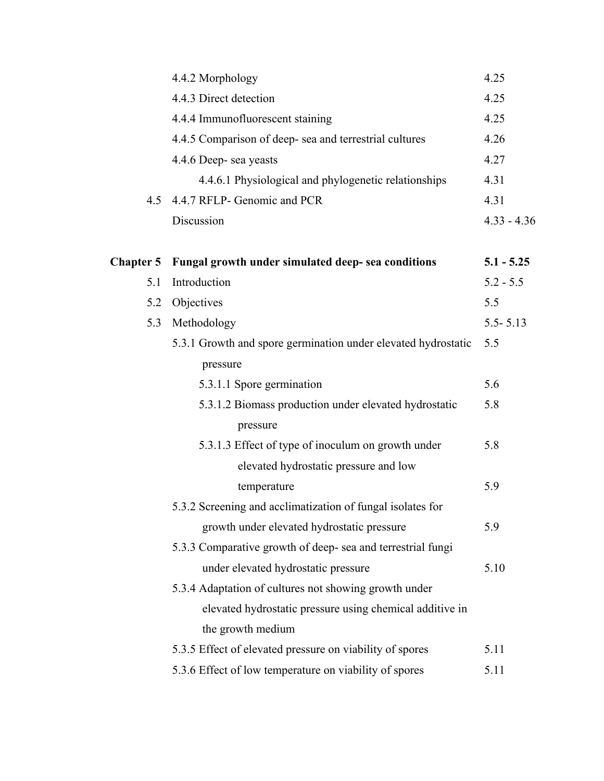|                  | 4.4.2 Morphology                                              | 4.25          |
|------------------|---------------------------------------------------------------|---------------|
|                  | 4.4.3 Direct detection                                        | 4.25          |
|                  | 4.4.4 Immunofluorescent staining                              | 4.25          |
|                  | 4.4.5 Comparison of deep- sea and terrestrial cultures        | 4.26          |
|                  | 4.4.6 Deep- sea yeasts                                        | 4.27          |
|                  | 4.4.6.1 Physiological and phylogenetic relationships          | 4.31          |
| 4.5              | 4.4.7 RFLP- Genomic and PCR                                   | 4.31          |
|                  | Discussion                                                    | $4.33 - 4.36$ |
|                  |                                                               |               |
| <b>Chapter 5</b> | Fungal growth under simulated deep- sea conditions            | $5.1 - 5.25$  |
| 5.1              | Introduction                                                  | $5.2 - 5.5$   |
| 5.2              | Objectives                                                    | 5.5           |
| 5.3              | Methodology                                                   |               |
|                  | 5.3.1 Growth and spore germination under elevated hydrostatic | 5.5           |
|                  | pressure                                                      |               |
|                  | 5.3.1.1 Spore germination                                     | 5.6           |
|                  | 5.3.1.2 Biomass production under elevated hydrostatic         | 5.8           |
|                  | pressure                                                      |               |
|                  | 5.3.1.3 Effect of type of inoculum on growth under            | 5.8           |
|                  | elevated hydrostatic pressure and low                         |               |
|                  | temperature                                                   | 5.9           |
|                  | 5.3.2 Screening and acclimatization of fungal isolates for    |               |
|                  | growth under elevated hydrostatic pressure                    | 5.9           |
|                  | 5.3.3 Comparative growth of deep- sea and terrestrial fungi   |               |
|                  | under elevated hydrostatic pressure                           | 5.10          |
|                  | 5.3.4 Adaptation of cultures not showing growth under         |               |
|                  | elevated hydrostatic pressure using chemical additive in      |               |
|                  | the growth medium                                             |               |
|                  | 5.3.5 Effect of elevated pressure on viability of spores      | 5.11          |
|                  | 5.3.6 Effect of low temperature on viability of spores        | 5.11          |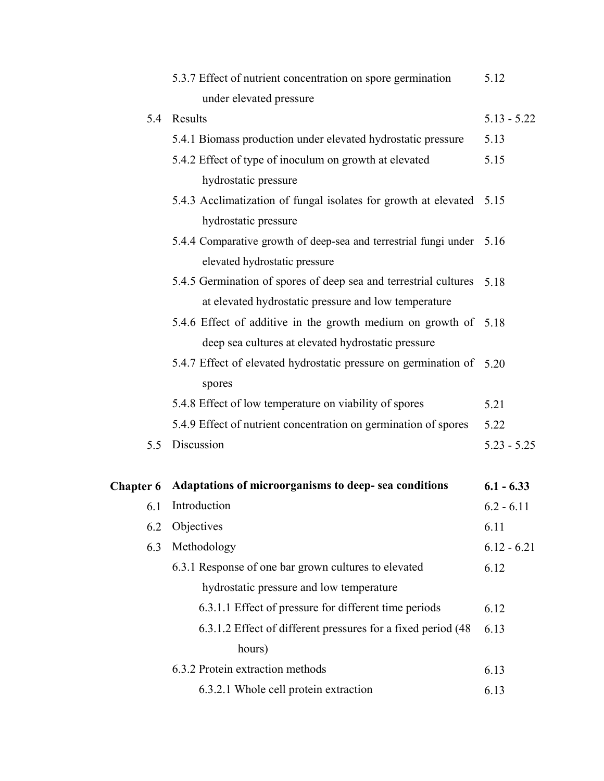|                  | 5.3.7 Effect of nutrient concentration on spore germination           | 5.12          |
|------------------|-----------------------------------------------------------------------|---------------|
|                  | under elevated pressure                                               |               |
| 5.4              | Results                                                               | $5.13 - 5.22$ |
|                  | 5.4.1 Biomass production under elevated hydrostatic pressure          | 5.13          |
|                  | 5.4.2 Effect of type of inoculum on growth at elevated                | 5.15          |
|                  | hydrostatic pressure                                                  |               |
|                  | 5.4.3 Acclimatization of fungal isolates for growth at elevated 5.15  |               |
|                  | hydrostatic pressure                                                  |               |
|                  | 5.4.4 Comparative growth of deep-sea and terrestrial fungi under 5.16 |               |
|                  | elevated hydrostatic pressure                                         |               |
|                  | 5.4.5 Germination of spores of deep sea and terrestrial cultures      | 5.18          |
|                  | at elevated hydrostatic pressure and low temperature                  |               |
|                  | 5.4.6 Effect of additive in the growth medium on growth of 5.18       |               |
|                  | deep sea cultures at elevated hydrostatic pressure                    |               |
|                  | 5.4.7 Effect of elevated hydrostatic pressure on germination of 5.20  |               |
|                  | spores                                                                |               |
|                  | 5.4.8 Effect of low temperature on viability of spores                | 5.21          |
|                  | 5.4.9 Effect of nutrient concentration on germination of spores       | 5.22          |
| 5.5              | Discussion                                                            | $5.23 - 5.25$ |
| <b>Chapter 6</b> | Adaptations of microorganisms to deep- sea conditions                 | $6.1 - 6.33$  |
| 6.1              | Introduction                                                          | $6.2 - 6.11$  |
| 6.2              | Objectives                                                            | 6.11          |
| 6.3              | Methodology                                                           | $6.12 - 6.21$ |
|                  | 6.3.1 Response of one bar grown cultures to elevated                  | 6.12          |
|                  | hydrostatic pressure and low temperature                              |               |
|                  | 6.3.1.1 Effect of pressure for different time periods                 | 6.12          |
|                  | 6.3.1.2 Effect of different pressures for a fixed period (48          | 6.13          |
|                  | hours)                                                                |               |
|                  | 6.3.2 Protein extraction methods                                      | 6.13          |
|                  | 6.3.2.1 Whole cell protein extraction                                 | 6.13          |
|                  |                                                                       |               |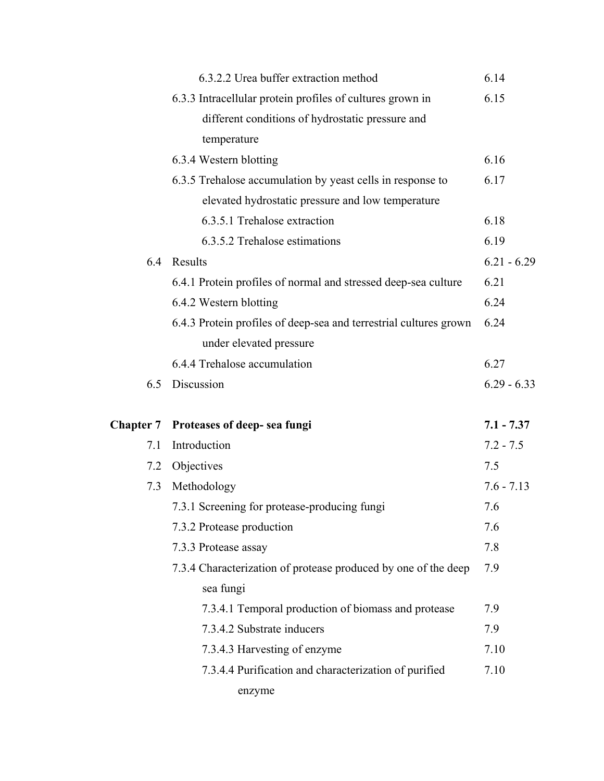|     | 6.3.2.2 Urea buffer extraction method                             | 6.14          |
|-----|-------------------------------------------------------------------|---------------|
|     | 6.3.3 Intracellular protein profiles of cultures grown in         | 6.15          |
|     | different conditions of hydrostatic pressure and                  |               |
|     | temperature                                                       |               |
|     | 6.3.4 Western blotting                                            | 6.16          |
|     | 6.3.5 Trehalose accumulation by yeast cells in response to        | 6.17          |
|     | elevated hydrostatic pressure and low temperature                 |               |
|     | 6.3.5.1 Trehalose extraction                                      | 6.18          |
|     | 6.3.5.2 Trehalose estimations                                     | 6.19          |
| 6.4 | Results                                                           | $6.21 - 6.29$ |
|     | 6.4.1 Protein profiles of normal and stressed deep-sea culture    | 6.21          |
|     | 6.4.2 Western blotting                                            | 6.24          |
|     | 6.4.3 Protein profiles of deep-sea and terrestrial cultures grown | 6.24          |
|     | under elevated pressure                                           |               |
|     | 6.4.4 Trehalose accumulation                                      | 6.27          |
| 6.5 | Discussion                                                        | $6.29 - 6.33$ |
|     |                                                                   |               |
|     |                                                                   |               |
|     | Chapter 7 Proteases of deep- sea fungi                            | $7.1 - 7.37$  |
| 7.1 | Introduction                                                      | $7.2 - 7.5$   |
| 7.2 | Objectives                                                        | 7.5           |
| 7.3 | Methodology                                                       | $7.6 - 7.13$  |
|     | 7.3.1 Screening for protease-producing fungi                      | 7.6           |
|     | 7.3.2 Protease production                                         | 7.6           |
|     | 7.3.3 Protease assay                                              | 7.8           |
|     | 7.3.4 Characterization of protease produced by one of the deep    | 7.9           |
|     | sea fungi                                                         |               |
|     | 7.3.4.1 Temporal production of biomass and protease               | 7.9           |
|     | 7.3.4.2 Substrate inducers                                        | 7.9           |
|     | 7.3.4.3 Harvesting of enzyme                                      | 7.10          |
|     | 7.3.4.4 Purification and characterization of purified             | 7.10          |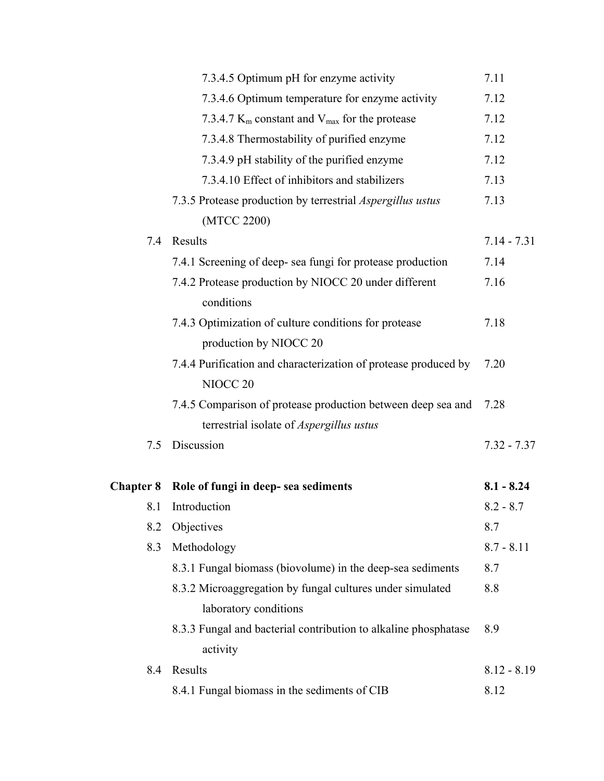|                  | 7.3.4.5 Optimum pH for enzyme activity                                                 | 7.11          |
|------------------|----------------------------------------------------------------------------------------|---------------|
|                  | 7.3.4.6 Optimum temperature for enzyme activity                                        | 7.12          |
|                  | 7.3.4.7 $K_m$ constant and $V_{max}$ for the protease                                  | 7.12          |
|                  | 7.3.4.8 Thermostability of purified enzyme                                             | 7.12          |
|                  | 7.3.4.9 pH stability of the purified enzyme                                            | 7.12          |
|                  | 7.3.4.10 Effect of inhibitors and stabilizers                                          | 7.13          |
|                  | 7.3.5 Protease production by terrestrial <i>Aspergillus ustus</i>                      | 7.13          |
|                  | (MTCC 2200)                                                                            |               |
| 7.4              | Results                                                                                | $7.14 - 7.31$ |
|                  | 7.4.1 Screening of deep- sea fungi for protease production                             | 7.14          |
|                  | 7.4.2 Protease production by NIOCC 20 under different<br>conditions                    | 7.16          |
|                  | 7.4.3 Optimization of culture conditions for protease                                  | 7.18          |
|                  | production by NIOCC 20                                                                 |               |
|                  | 7.4.4 Purification and characterization of protease produced by<br>NIOCC <sub>20</sub> | 7.20          |
|                  | 7.4.5 Comparison of protease production between deep sea and                           | 7.28          |
|                  | terrestrial isolate of <i>Aspergillus ustus</i>                                        |               |
| 7.5              | Discussion                                                                             | $7.32 - 7.37$ |
| <b>Chapter 8</b> | Role of fungi in deep- sea sediments                                                   | $8.1 - 8.24$  |
| 8.1              | Introduction                                                                           | $8.2 - 8.7$   |
| 8.2              | Objectives                                                                             | 8.7           |
| 8.3              | Methodology                                                                            | $8.7 - 8.11$  |
|                  | 8.3.1 Fungal biomass (biovolume) in the deep-sea sediments                             | 8.7           |
|                  | 8.3.2 Microaggregation by fungal cultures under simulated                              | 8.8           |
|                  | laboratory conditions                                                                  |               |
|                  | 8.3.3 Fungal and bacterial contribution to alkaline phosphatase                        | 8.9           |
|                  | activity                                                                               |               |
| 8.4              | Results                                                                                | $8.12 - 8.19$ |
|                  | 8.4.1 Fungal biomass in the sediments of CIB                                           | 8.12          |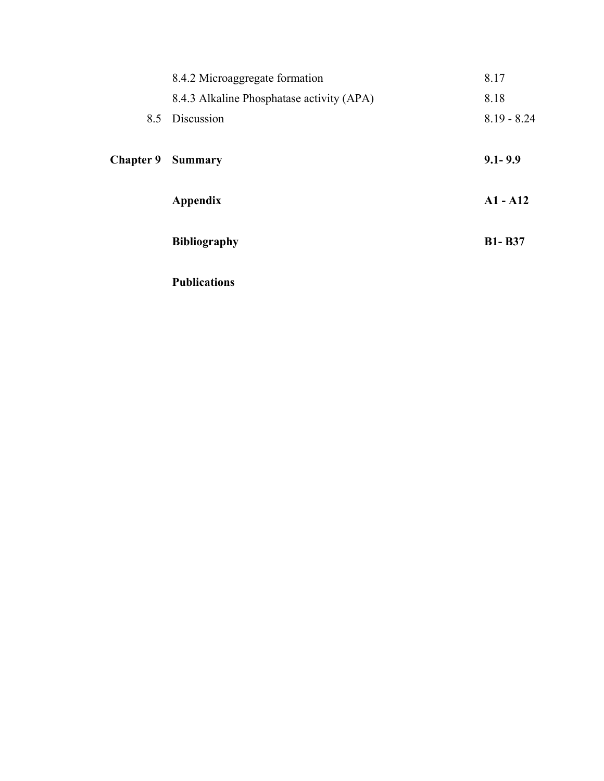|                  | 8.4.2 Microaggregate formation            | 8.17          |
|------------------|-------------------------------------------|---------------|
|                  | 8.4.3 Alkaline Phosphatase activity (APA) | 8.18          |
|                  | 8.5 Discussion                            | $8.19 - 8.24$ |
| <b>Chapter 9</b> | <b>Summary</b>                            | $9.1 - 9.9$   |
|                  | <b>Appendix</b>                           | $A1 - A12$    |
|                  | <b>Bibliography</b>                       | <b>B1-B37</b> |
|                  | <b>Publications</b>                       |               |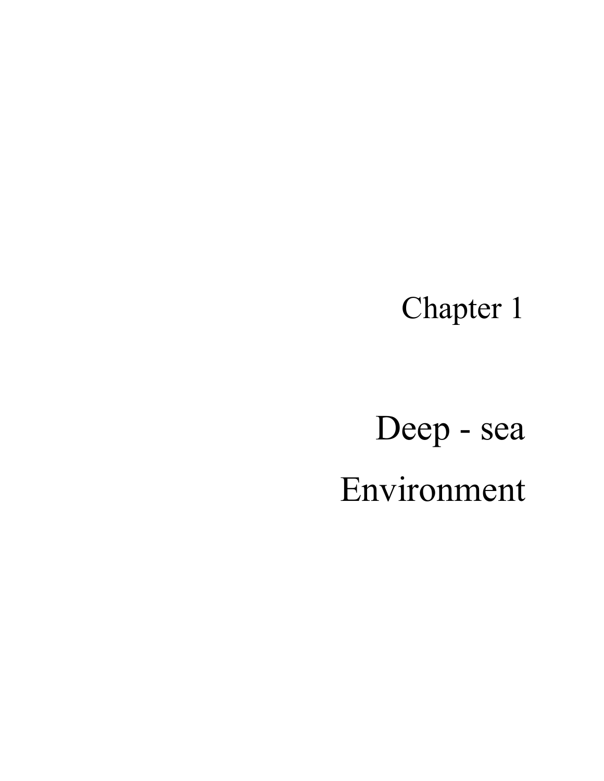Chapter 1

Deep - sea Environment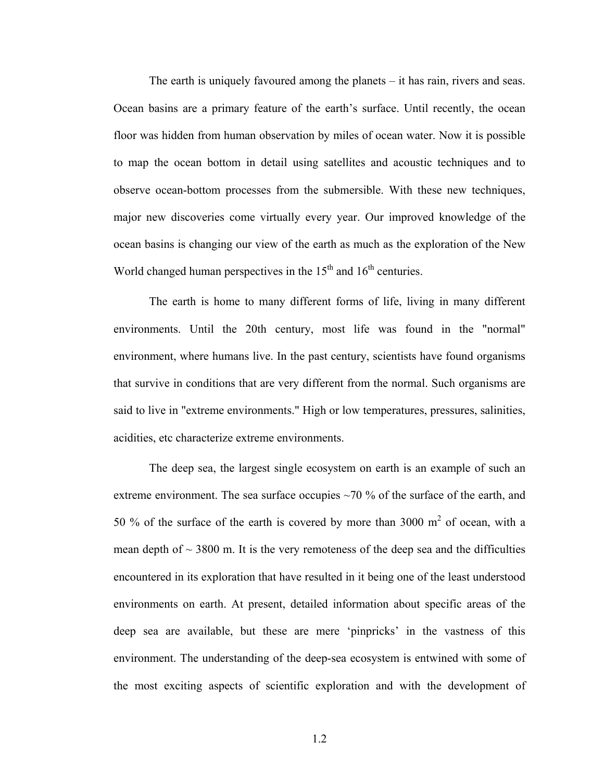The earth is uniquely favoured among the planets – it has rain, rivers and seas. Ocean basins are a primary feature of the earth's surface. Until recently, the ocean floor was hidden from human observation by miles of ocean water. Now it is possible to map the ocean bottom in detail using satellites and acoustic techniques and to observe ocean-bottom processes from the submersible. With these new techniques, major new discoveries come virtually every year. Our improved knowledge of the ocean basins is changing our view of the earth as much as the exploration of the New World changed human perspectives in the  $15<sup>th</sup>$  and  $16<sup>th</sup>$  centuries.

The earth is home to many different forms of life, living in many different environments. Until the 20th century, most life was found in the "normal" environment, where humans live. In the past century, scientists have found organisms that survive in conditions that are very different from the normal. Such organisms are said to live in "extreme environments." High or low temperatures, pressures, salinities, acidities, etc characterize extreme environments.

The deep sea, the largest single ecosystem on earth is an example of such an extreme environment. The sea surface occupies ~70 % of the surface of the earth, and 50 % of the surface of the earth is covered by more than 3000  $m<sup>2</sup>$  of ocean, with a mean depth of  $\sim$  3800 m. It is the very remoteness of the deep sea and the difficulties encountered in its exploration that have resulted in it being one of the least understood environments on earth. At present, detailed information about specific areas of the deep sea are available, but these are mere 'pinpricks' in the vastness of this environment. The understanding of the deep-sea ecosystem is entwined with some of the most exciting aspects of scientific exploration and with the development of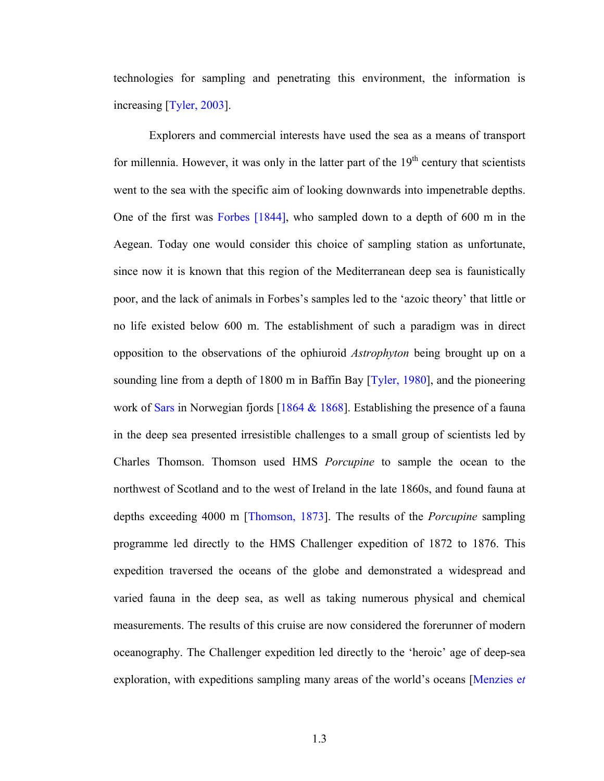technologies for sampling and penetrating this environment, the information is increasing [Tyler, 2003].

Explorers and commercial interests have used the sea as a means of transport for millennia. However, it was only in the latter part of the  $19<sup>th</sup>$  century that scientists went to the sea with the specific aim of looking downwards into impenetrable depths. One of the first was Forbes [1844], who sampled down to a depth of 600 m in the Aegean. Today one would consider this choice of sampling station as unfortunate, since now it is known that this region of the Mediterranean deep sea is faunistically poor, and the lack of animals in Forbes's samples led to the 'azoic theory' that little or no life existed below 600 m. The establishment of such a paradigm was in direct opposition to the observations of the ophiuroid *Astrophyton* being brought up on a sounding line from a depth of 1800 m in Baffin Bay [Tyler, 1980], and the pioneering work of Sars in Norwegian fjords [1864 & 1868]. Establishing the presence of a fauna in the deep sea presented irresistible challenges to a small group of scientists led by Charles Thomson. Thomson used HMS *Porcupine* to sample the ocean to the northwest of Scotland and to the west of Ireland in the late 1860s, and found fauna at depths exceeding 4000 m [Thomson, 1873]. The results of the *Porcupine* sampling programme led directly to the HMS Challenger expedition of 1872 to 1876. This expedition traversed the oceans of the globe and demonstrated a widespread and varied fauna in the deep sea, as well as taking numerous physical and chemical measurements. The results of this cruise are now considered the forerunner of modern oceanography. The Challenger expedition led directly to the 'heroic' age of deep-sea exploration, with expeditions sampling many areas of the world's oceans [Menzies e*t*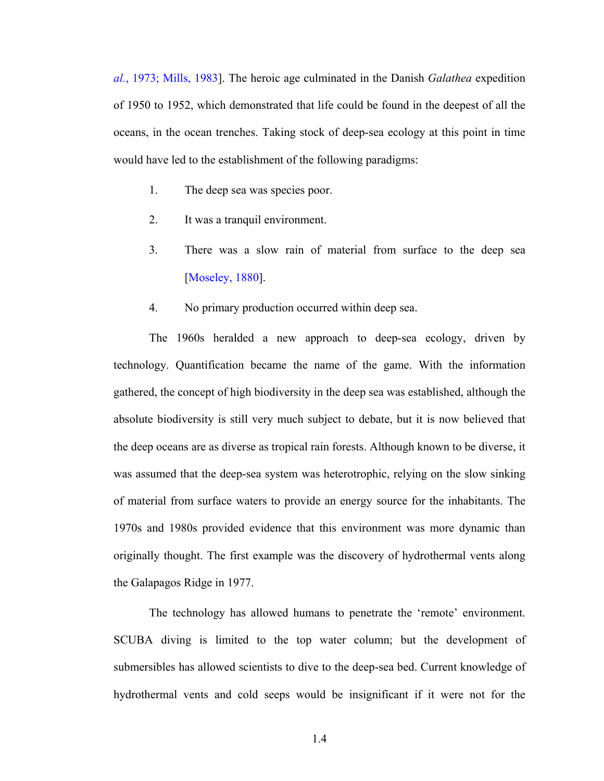*al.*, 1973; Mills, 1983]. The heroic age culminated in the Danish *Galathea* expedition of 1950 to 1952, which demonstrated that life could be found in the deepest of all the oceans, in the ocean trenches. Taking stock of deep-sea ecology at this point in time would have led to the establishment of the following paradigms:

- 1. The deep sea was species poor.
- 2. It was a tranquil environment.
- 3. There was a slow rain of material from surface to the deep sea [Moseley, 1880].
- 4. No primary production occurred within deep sea.

The 1960s heralded a new approach to deep-sea ecology, driven by technology. Quantification became the name of the game. With the information gathered, the concept of high biodiversity in the deep sea was established, although the absolute biodiversity is still very much subject to debate, but it is now believed that the deep oceans are as diverse as tropical rain forests. Although known to be diverse, it was assumed that the deep-sea system was heterotrophic, relying on the slow sinking of material from surface waters to provide an energy source for the inhabitants. The 1970s and 1980s provided evidence that this environment was more dynamic than originally thought. The first example was the discovery of hydrothermal vents along the Galapagos Ridge in 1977.

The technology has allowed humans to penetrate the 'remote' environment. SCUBA diving is limited to the top water column; but the development of submersibles has allowed scientists to dive to the deep-sea bed. Current knowledge of hydrothermal vents and cold seeps would be insignificant if it were not for the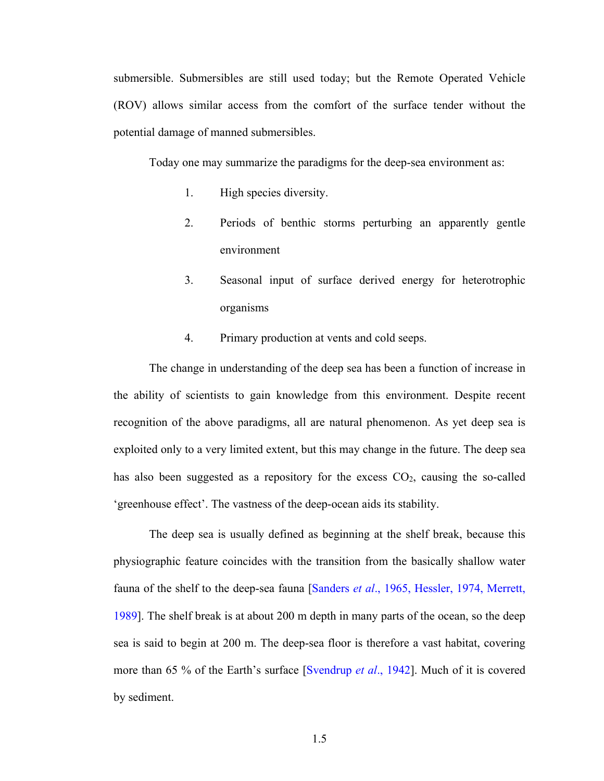submersible. Submersibles are still used today; but the Remote Operated Vehicle (ROV) allows similar access from the comfort of the surface tender without the potential damage of manned submersibles.

Today one may summarize the paradigms for the deep-sea environment as:

- 1. High species diversity.
- 2. Periods of benthic storms perturbing an apparently gentle environment
- 3. Seasonal input of surface derived energy for heterotrophic organisms
- 4. Primary production at vents and cold seeps.

The change in understanding of the deep sea has been a function of increase in the ability of scientists to gain knowledge from this environment. Despite recent recognition of the above paradigms, all are natural phenomenon. As yet deep sea is exploited only to a very limited extent, but this may change in the future. The deep sea has also been suggested as a repository for the excess  $CO<sub>2</sub>$ , causing the so-called 'greenhouse effect'. The vastness of the deep-ocean aids its stability.

The deep sea is usually defined as beginning at the shelf break, because this physiographic feature coincides with the transition from the basically shallow water fauna of the shelf to the deep-sea fauna [Sanders *et al*., 1965, Hessler, 1974, Merrett, 1989]. The shelf break is at about 200 m depth in many parts of the ocean, so the deep sea is said to begin at 200 m. The deep-sea floor is therefore a vast habitat, covering more than 65 % of the Earth's surface [Svendrup *et al*., 1942]. Much of it is covered by sediment.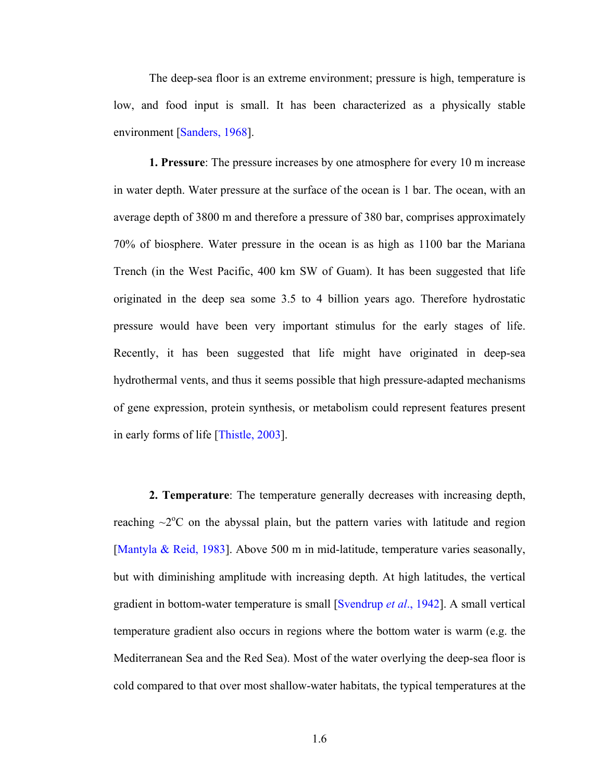The deep-sea floor is an extreme environment; pressure is high, temperature is low, and food input is small. It has been characterized as a physically stable environment [Sanders, 1968].

**1. Pressure**: The pressure increases by one atmosphere for every 10 m increase in water depth. Water pressure at the surface of the ocean is 1 bar. The ocean, with an average depth of 3800 m and therefore a pressure of 380 bar, comprises approximately 70% of biosphere. Water pressure in the ocean is as high as 1100 bar the Mariana Trench (in the West Pacific, 400 km SW of Guam). It has been suggested that life originated in the deep sea some 3.5 to 4 billion years ago. Therefore hydrostatic pressure would have been very important stimulus for the early stages of life. Recently, it has been suggested that life might have originated in deep-sea hydrothermal vents, and thus it seems possible that high pressure-adapted mechanisms of gene expression, protein synthesis, or metabolism could represent features present in early forms of life [Thistle, 2003].

**2. Temperature**: The temperature generally decreases with increasing depth, reaching  $\sim$ 2 $\degree$ C on the abyssal plain, but the pattern varies with latitude and region [Mantyla & Reid, 1983]. Above 500 m in mid-latitude, temperature varies seasonally, but with diminishing amplitude with increasing depth. At high latitudes, the vertical gradient in bottom-water temperature is small [Svendrup *et al*., 1942]. A small vertical temperature gradient also occurs in regions where the bottom water is warm (e.g. the Mediterranean Sea and the Red Sea). Most of the water overlying the deep-sea floor is cold compared to that over most shallow-water habitats, the typical temperatures at the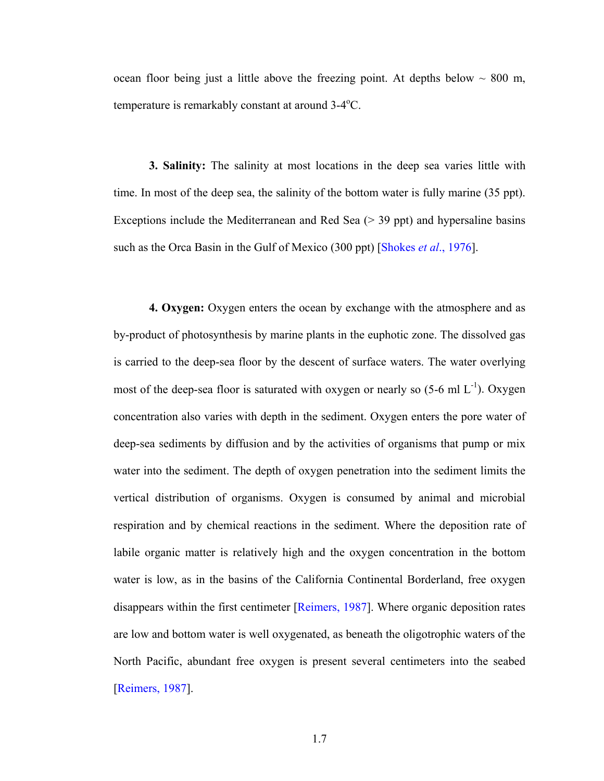ocean floor being just a little above the freezing point. At depths below  $\sim 800$  m, temperature is remarkably constant at around  $3-4$ <sup>o</sup>C.

**3. Salinity:** The salinity at most locations in the deep sea varies little with time. In most of the deep sea, the salinity of the bottom water is fully marine (35 ppt). Exceptions include the Mediterranean and Red Sea ( $>$  39 ppt) and hypersaline basins such as the Orca Basin in the Gulf of Mexico (300 ppt) [Shokes *et al*., 1976].

**4. Oxygen:** Oxygen enters the ocean by exchange with the atmosphere and as by-product of photosynthesis by marine plants in the euphotic zone. The dissolved gas is carried to the deep-sea floor by the descent of surface waters. The water overlying most of the deep-sea floor is saturated with oxygen or nearly so  $(5-6 \text{ ml } L^{-1})$ . Oxygen concentration also varies with depth in the sediment. Oxygen enters the pore water of deep-sea sediments by diffusion and by the activities of organisms that pump or mix water into the sediment. The depth of oxygen penetration into the sediment limits the vertical distribution of organisms. Oxygen is consumed by animal and microbial respiration and by chemical reactions in the sediment. Where the deposition rate of labile organic matter is relatively high and the oxygen concentration in the bottom water is low, as in the basins of the California Continental Borderland, free oxygen disappears within the first centimeter [Reimers, 1987]. Where organic deposition rates are low and bottom water is well oxygenated, as beneath the oligotrophic waters of the North Pacific, abundant free oxygen is present several centimeters into the seabed [Reimers, 1987].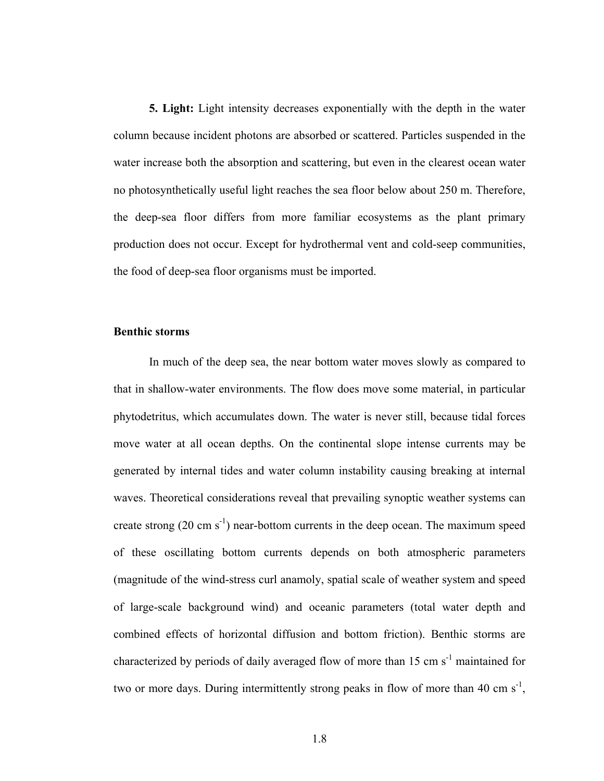**5. Light:** Light intensity decreases exponentially with the depth in the water column because incident photons are absorbed or scattered. Particles suspended in the water increase both the absorption and scattering, but even in the clearest ocean water no photosynthetically useful light reaches the sea floor below about 250 m. Therefore, the deep-sea floor differs from more familiar ecosystems as the plant primary production does not occur. Except for hydrothermal vent and cold-seep communities, the food of deep-sea floor organisms must be imported.

#### **Benthic storms**

In much of the deep sea, the near bottom water moves slowly as compared to that in shallow-water environments. The flow does move some material, in particular phytodetritus, which accumulates down. The water is never still, because tidal forces move water at all ocean depths. On the continental slope intense currents may be generated by internal tides and water column instability causing breaking at internal waves. Theoretical considerations reveal that prevailing synoptic weather systems can create strong  $(20 \text{ cm s}^{-1})$  near-bottom currents in the deep ocean. The maximum speed of these oscillating bottom currents depends on both atmospheric parameters (magnitude of the wind-stress curl anamoly, spatial scale of weather system and speed of large-scale background wind) and oceanic parameters (total water depth and combined effects of horizontal diffusion and bottom friction). Benthic storms are characterized by periods of daily averaged flow of more than  $15 \text{ cm s}^{-1}$  maintained for two or more days. During intermittently strong peaks in flow of more than 40 cm  $s^{-1}$ ,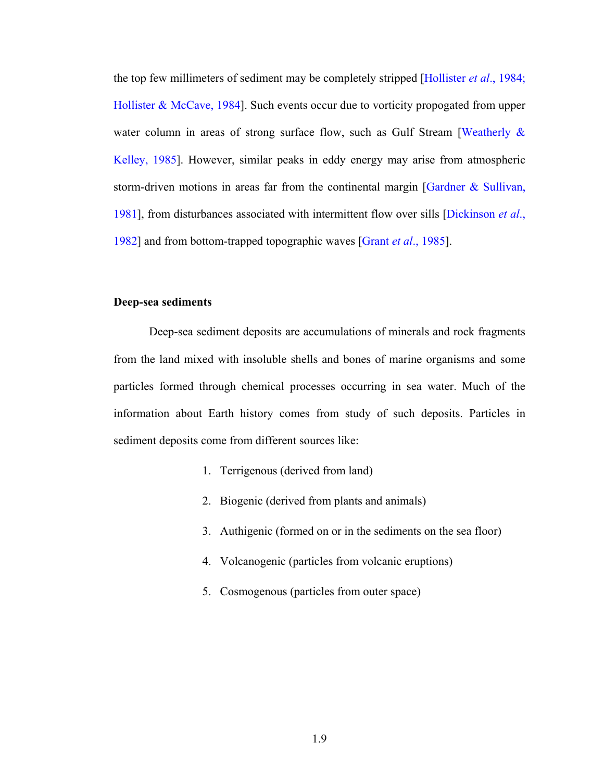the top few millimeters of sediment may be completely stripped [Hollister *et al*., 1984; Hollister & McCave, 1984]. Such events occur due to vorticity propogated from upper water column in areas of strong surface flow, such as Gulf Stream [Weatherly & Kelley, 1985]. However, similar peaks in eddy energy may arise from atmospheric storm-driven motions in areas far from the continental margin [Gardner  $&$  Sullivan, 1981], from disturbances associated with intermittent flow over sills [Dickinson *et al*., 1982] and from bottom-trapped topographic waves [Grant *et al*., 1985].

#### **Deep-sea sediments**

Deep-sea sediment deposits are accumulations of minerals and rock fragments from the land mixed with insoluble shells and bones of marine organisms and some particles formed through chemical processes occurring in sea water. Much of the information about Earth history comes from study of such deposits. Particles in sediment deposits come from different sources like:

- 1. Terrigenous (derived from land)
- 2. Biogenic (derived from plants and animals)
- 3. Authigenic (formed on or in the sediments on the sea floor)
- 4. Volcanogenic (particles from volcanic eruptions)
- 5. Cosmogenous (particles from outer space)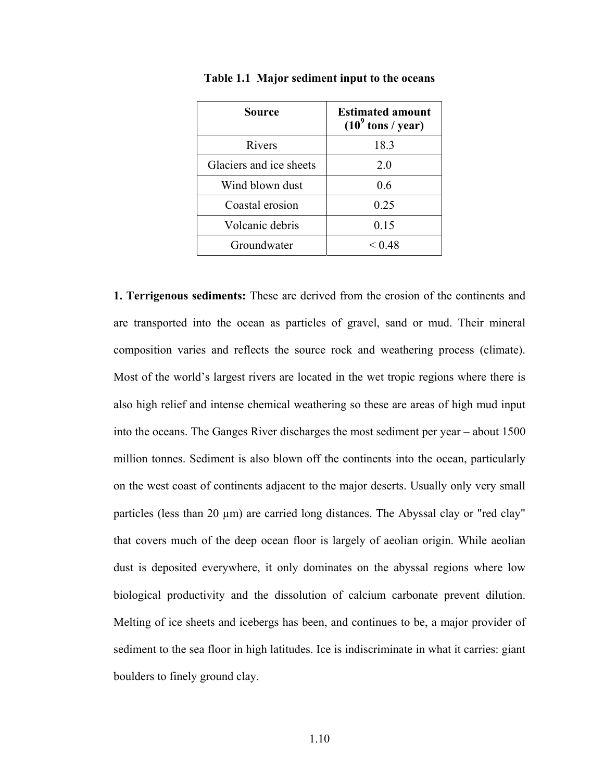| Source                  | <b>Estimated amount</b><br>$(109$ tons / year) |
|-------------------------|------------------------------------------------|
| Rivers                  | 18.3                                           |
| Glaciers and ice sheets | 20                                             |
| Wind blown dust         | 0.6                                            |
| Coastal erosion         | 0.25                                           |
| Volcanic debris         | 0.15                                           |
| Groundwater             | $<$ 0.48                                       |

**Table 1.1 Major sediment input to the oceans** 

**1. Terrigenous sediments:** These are derived from the erosion of the continents and are transported into the ocean as particles of gravel, sand or mud. Their mineral composition varies and reflects the source rock and weathering process (climate). Most of the world's largest rivers are located in the wet tropic regions where there is also high relief and intense chemical weathering so these are areas of high mud input into the oceans. The Ganges River discharges the most sediment per year – about 1500 million tonnes. Sediment is also blown off the continents into the ocean, particularly on the west coast of continents adjacent to the major deserts. Usually only very small particles (less than 20  $\mu$ m) are carried long distances. The Abyssal clay or "red clay" that covers much of the deep ocean floor is largely of aeolian origin. While aeolian dust is deposited everywhere, it only dominates on the abyssal regions where low biological productivity and the dissolution of calcium carbonate prevent dilution. Melting of ice sheets and icebergs has been, and continues to be, a major provider of sediment to the sea floor in high latitudes. Ice is indiscriminate in what it carries: giant boulders to finely ground clay.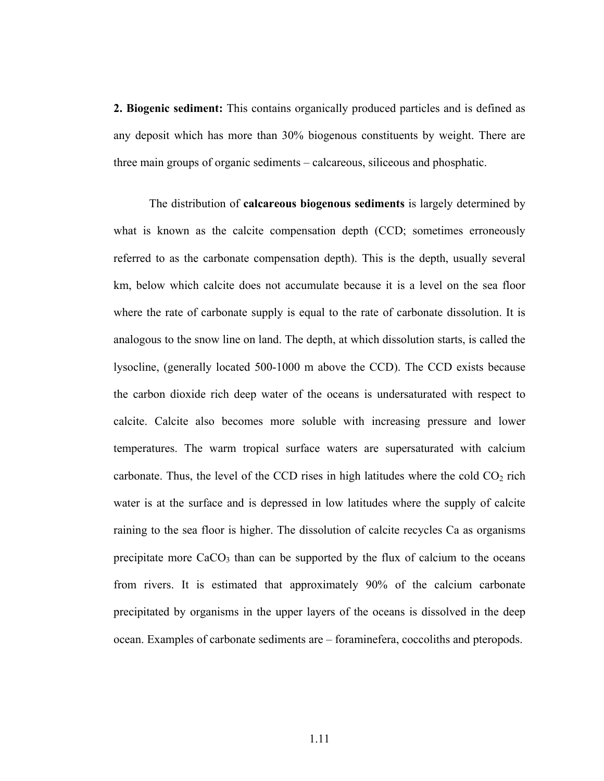**2. Biogenic sediment:** This contains organically produced particles and is defined as any deposit which has more than 30% biogenous constituents by weight. There are three main groups of organic sediments – calcareous, siliceous and phosphatic.

The distribution of **calcareous biogenous sediments** is largely determined by what is known as the calcite compensation depth (CCD; sometimes erroneously referred to as the carbonate compensation depth). This is the depth, usually several km, below which calcite does not accumulate because it is a level on the sea floor where the rate of carbonate supply is equal to the rate of carbonate dissolution. It is analogous to the snow line on land. The depth, at which dissolution starts, is called the lysocline, (generally located 500-1000 m above the CCD). The CCD exists because the carbon dioxide rich deep water of the oceans is undersaturated with respect to calcite. Calcite also becomes more soluble with increasing pressure and lower temperatures. The warm tropical surface waters are supersaturated with calcium carbonate. Thus, the level of the CCD rises in high latitudes where the cold  $CO<sub>2</sub>$  rich water is at the surface and is depressed in low latitudes where the supply of calcite raining to the sea floor is higher. The dissolution of calcite recycles Ca as organisms precipitate more  $CaCO<sub>3</sub>$  than can be supported by the flux of calcium to the oceans from rivers. It is estimated that approximately 90% of the calcium carbonate precipitated by organisms in the upper layers of the oceans is dissolved in the deep ocean. Examples of carbonate sediments are – foraminefera, coccoliths and pteropods.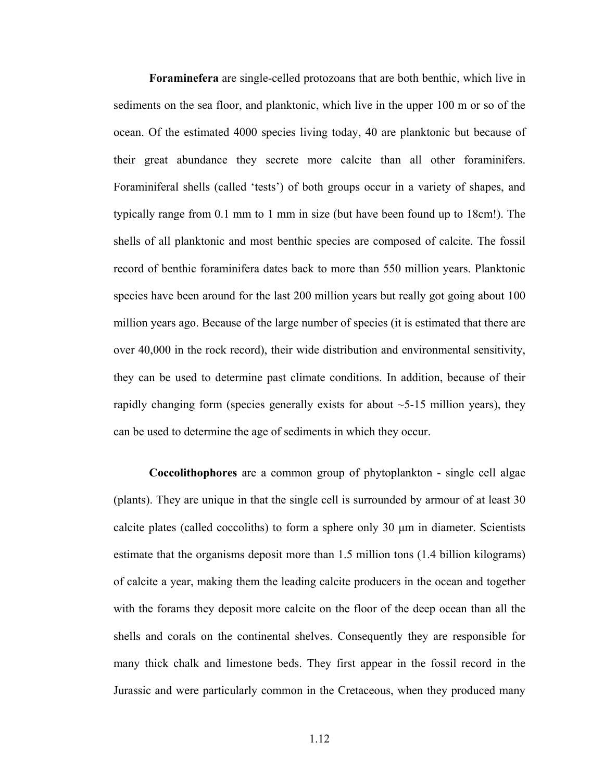**Foraminefera** are single-celled protozoans that are both benthic, which live in sediments on the sea floor, and planktonic, which live in the upper 100 m or so of the ocean. Of the estimated 4000 species living today, 40 are planktonic but because of their great abundance they secrete more calcite than all other foraminifers. Foraminiferal shells (called 'tests') of both groups occur in a variety of shapes, and typically range from 0.1 mm to 1 mm in size (but have been found up to 18cm!). The shells of all planktonic and most benthic species are composed of calcite. The fossil record of benthic foraminifera dates back to more than 550 million years. Planktonic species have been around for the last 200 million years but really got going about 100 million years ago. Because of the large number of species (it is estimated that there are over 40,000 in the rock record), their wide distribution and environmental sensitivity, they can be used to determine past climate conditions. In addition, because of their rapidly changing form (species generally exists for about  $\sim$  5-15 million years), they can be used to determine the age of sediments in which they occur.

**Coccolithophores** are a common group of phytoplankton - single cell algae (plants). They are unique in that the single cell is surrounded by armour of at least 30 calcite plates (called coccoliths) to form a sphere only 30 µm in diameter. Scientists estimate that the organisms deposit more than 1.5 million tons (1.4 billion kilograms) of calcite a year, making them the leading calcite producers in the ocean and together with the forams they deposit more calcite on the floor of the deep ocean than all the shells and corals on the continental shelves. Consequently they are responsible for many thick chalk and limestone beds. They first appear in the fossil record in the Jurassic and were particularly common in the Cretaceous, when they produced many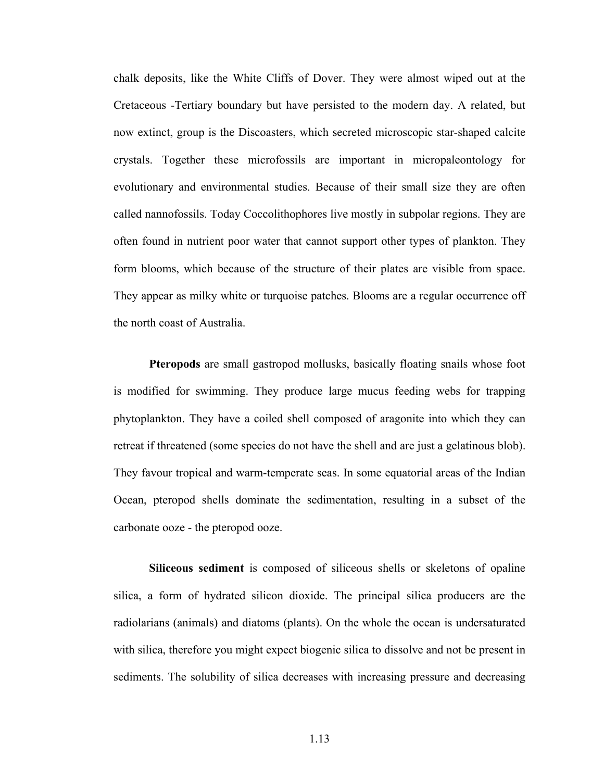chalk deposits, like the White Cliffs of Dover. They were almost wiped out at the Cretaceous -Tertiary boundary but have persisted to the modern day. A related, but now extinct, group is the Discoasters, which secreted microscopic star-shaped calcite crystals. Together these microfossils are important in micropaleontology for evolutionary and environmental studies. Because of their small size they are often called nannofossils. Today Coccolithophores live mostly in subpolar regions. They are often found in nutrient poor water that cannot support other types of plankton. They form blooms, which because of the structure of their plates are visible from space. They appear as milky white or turquoise patches. Blooms are a regular occurrence off the north coast of Australia.

**Pteropods** are small gastropod mollusks, basically floating snails whose foot is modified for swimming. They produce large mucus feeding webs for trapping phytoplankton. They have a coiled shell composed of aragonite into which they can retreat if threatened (some species do not have the shell and are just a gelatinous blob). They favour tropical and warm-temperate seas. In some equatorial areas of the Indian Ocean, pteropod shells dominate the sedimentation, resulting in a subset of the carbonate ooze - the pteropod ooze.

**Siliceous sediment** is composed of siliceous shells or skeletons of opaline silica, a form of hydrated silicon dioxide. The principal silica producers are the radiolarians (animals) and diatoms (plants). On the whole the ocean is undersaturated with silica, therefore you might expect biogenic silica to dissolve and not be present in sediments. The solubility of silica decreases with increasing pressure and decreasing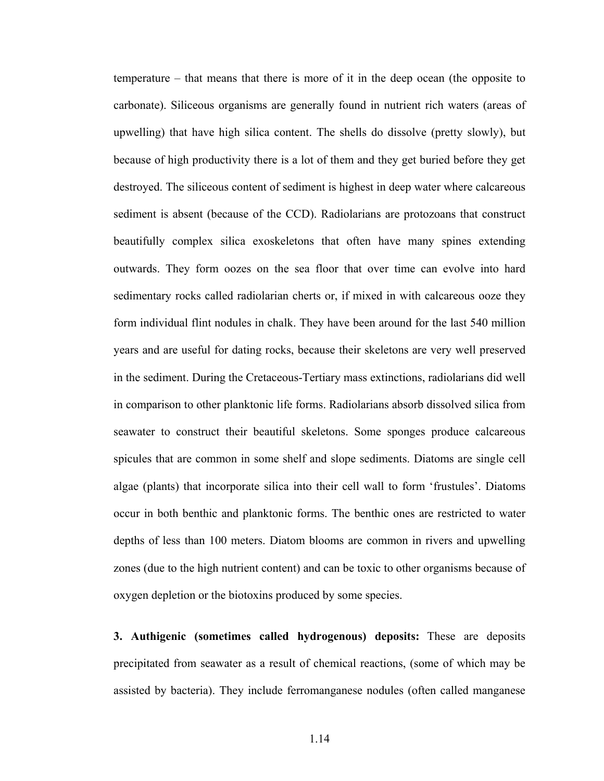temperature – that means that there is more of it in the deep ocean (the opposite to carbonate). Siliceous organisms are generally found in nutrient rich waters (areas of upwelling) that have high silica content. The shells do dissolve (pretty slowly), but because of high productivity there is a lot of them and they get buried before they get destroyed. The siliceous content of sediment is highest in deep water where calcareous sediment is absent (because of the CCD). Radiolarians are protozoans that construct beautifully complex silica exoskeletons that often have many spines extending outwards. They form oozes on the sea floor that over time can evolve into hard sedimentary rocks called radiolarian cherts or, if mixed in with calcareous ooze they form individual flint nodules in chalk. They have been around for the last 540 million years and are useful for dating rocks, because their skeletons are very well preserved in the sediment. During the Cretaceous-Tertiary mass extinctions, radiolarians did well in comparison to other planktonic life forms. Radiolarians absorb dissolved silica from seawater to construct their beautiful skeletons. Some sponges produce calcareous spicules that are common in some shelf and slope sediments. Diatoms are single cell algae (plants) that incorporate silica into their cell wall to form 'frustules'. Diatoms occur in both benthic and planktonic forms. The benthic ones are restricted to water depths of less than 100 meters. Diatom blooms are common in rivers and upwelling zones (due to the high nutrient content) and can be toxic to other organisms because of oxygen depletion or the biotoxins produced by some species.

**3. Authigenic (sometimes called hydrogenous) deposits:** These are deposits precipitated from seawater as a result of chemical reactions, (some of which may be assisted by bacteria). They include ferromanganese nodules (often called manganese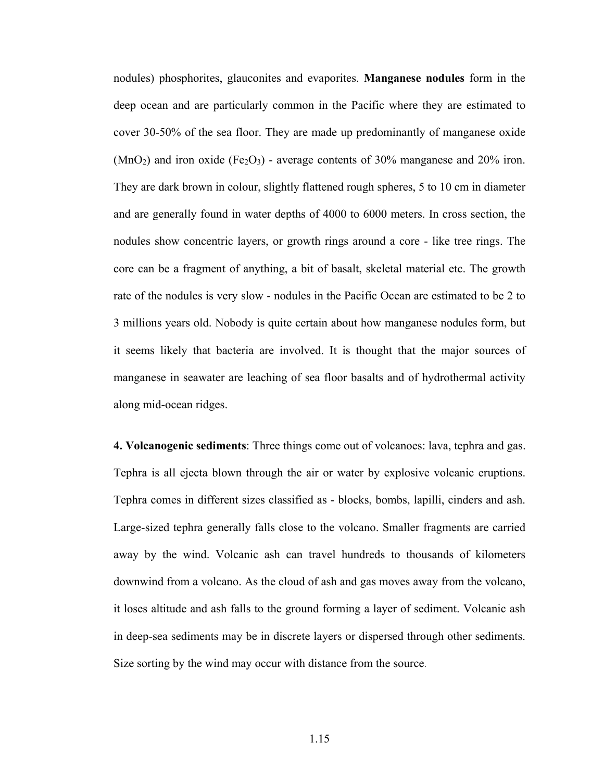nodules) phosphorites, glauconites and evaporites. **Manganese nodules** form in the deep ocean and are particularly common in the Pacific where they are estimated to cover 30-50% of the sea floor. They are made up predominantly of manganese oxide  $(MnO<sub>2</sub>)$  and iron oxide (Fe<sub>2</sub>O<sub>3</sub>) - average contents of 30% manganese and 20% iron. They are dark brown in colour, slightly flattened rough spheres, 5 to 10 cm in diameter and are generally found in water depths of 4000 to 6000 meters. In cross section, the nodules show concentric layers, or growth rings around a core - like tree rings. The core can be a fragment of anything, a bit of basalt, skeletal material etc. The growth rate of the nodules is very slow - nodules in the Pacific Ocean are estimated to be 2 to 3 millions years old. Nobody is quite certain about how manganese nodules form, but it seems likely that bacteria are involved. It is thought that the major sources of manganese in seawater are leaching of sea floor basalts and of hydrothermal activity along mid-ocean ridges.

**4. Volcanogenic sediments**: Three things come out of volcanoes: lava, tephra and gas. Tephra is all ejecta blown through the air or water by explosive volcanic eruptions. Tephra comes in different sizes classified as - blocks, bombs, lapilli, cinders and ash. Large-sized tephra generally falls close to the volcano. Smaller fragments are carried away by the wind. Volcanic ash can travel hundreds to thousands of kilometers downwind from a volcano. As the cloud of ash and gas moves away from the volcano, it loses altitude and ash falls to the ground forming a layer of sediment. Volcanic ash in deep-sea sediments may be in discrete layers or dispersed through other sediments. Size sorting by the wind may occur with distance from the source.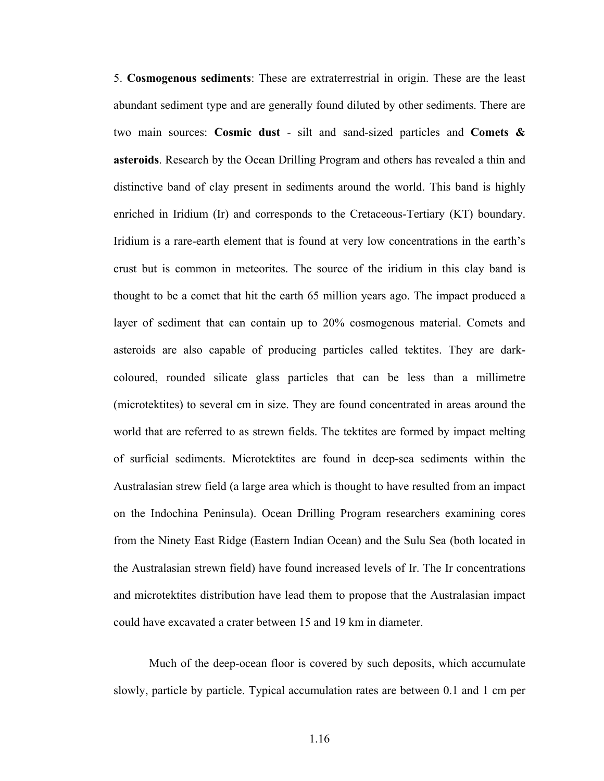5. **Cosmogenous sediments**: These are extraterrestrial in origin. These are the least abundant sediment type and are generally found diluted by other sediments. There are two main sources: **Cosmic dust** - silt and sand-sized particles and **Comets & asteroids**. Research by the Ocean Drilling Program and others has revealed a thin and distinctive band of clay present in sediments around the world. This band is highly enriched in Iridium (Ir) and corresponds to the Cretaceous-Tertiary (KT) boundary. Iridium is a rare-earth element that is found at very low concentrations in the earth's crust but is common in meteorites. The source of the iridium in this clay band is thought to be a comet that hit the earth 65 million years ago. The impact produced a layer of sediment that can contain up to 20% cosmogenous material. Comets and asteroids are also capable of producing particles called tektites. They are darkcoloured, rounded silicate glass particles that can be less than a millimetre (microtektites) to several cm in size. They are found concentrated in areas around the world that are referred to as strewn fields. The tektites are formed by impact melting of surficial sediments. Microtektites are found in deep-sea sediments within the Australasian strew field (a large area which is thought to have resulted from an impact on the Indochina Peninsula). Ocean Drilling Program researchers examining cores from the Ninety East Ridge (Eastern Indian Ocean) and the Sulu Sea (both located in the Australasian strewn field) have found increased levels of Ir. The Ir concentrations and microtektites distribution have lead them to propose that the Australasian impact could have excavated a crater between 15 and 19 km in diameter.

Much of the deep-ocean floor is covered by such deposits, which accumulate slowly, particle by particle. Typical accumulation rates are between 0.1 and 1 cm per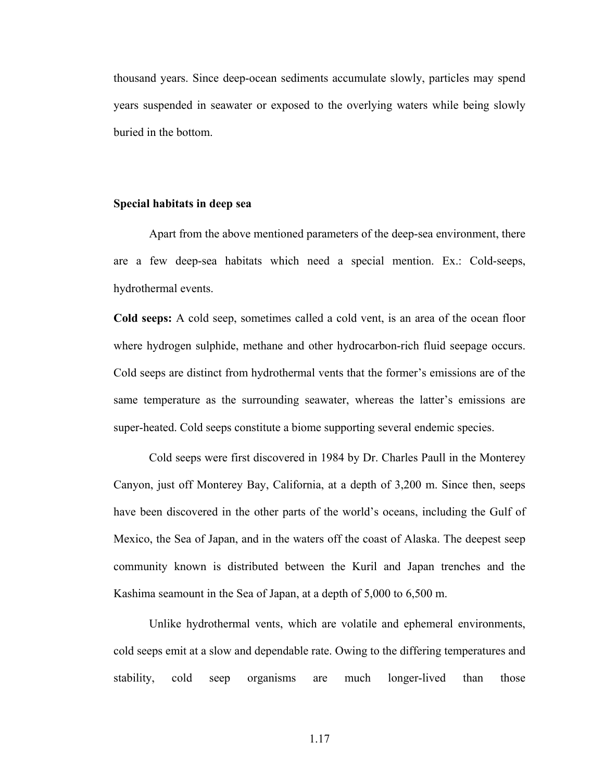thousand years. Since deep-ocean sediments accumulate slowly, particles may spend years suspended in seawater or exposed to the overlying waters while being slowly buried in the bottom.

#### **Special habitats in deep sea**

Apart from the above mentioned parameters of the deep-sea environment, there are a few deep-sea habitats which need a special mention. Ex.: Cold-seeps, hydrothermal events.

**Cold seeps:** A cold seep, sometimes called a cold vent, is an area of the ocean floor where hydrogen sulphide, methane and other hydrocarbon-rich fluid seepage occurs. Cold seeps are distinct from hydrothermal vents that the former's emissions are of the same temperature as the surrounding seawater, whereas the latter's emissions are super-heated. Cold seeps constitute a biome supporting several endemic species.

Cold seeps were first discovered in 1984 by Dr. Charles Paull in the Monterey Canyon, just off Monterey Bay, California, at a depth of 3,200 m. Since then, seeps have been discovered in the other parts of the world's oceans, including the Gulf of Mexico, the Sea of Japan, and in the waters off the coast of Alaska. The deepest seep community known is distributed between the Kuril and Japan trenches and the Kashima seamount in the Sea of Japan, at a depth of 5,000 to 6,500 m.

Unlike hydrothermal vents, which are volatile and ephemeral environments, cold seeps emit at a slow and dependable rate. Owing to the differing temperatures and stability, cold seep organisms are much longer-lived than those

1.17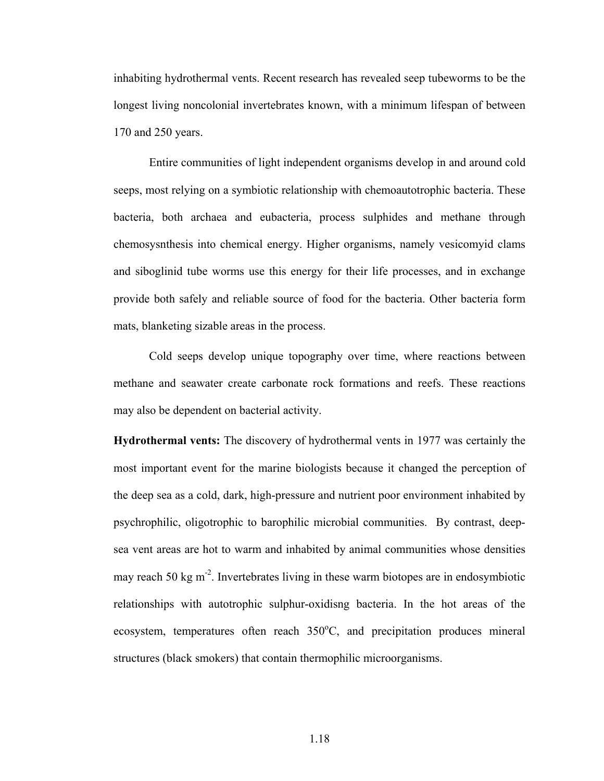inhabiting hydrothermal vents. Recent research has revealed seep tubeworms to be the longest living noncolonial invertebrates known, with a minimum lifespan of between 170 and 250 years.

Entire communities of light independent organisms develop in and around cold seeps, most relying on a symbiotic relationship with chemoautotrophic bacteria. These bacteria, both archaea and eubacteria, process sulphides and methane through chemosysnthesis into chemical energy. Higher organisms, namely vesicomyid clams and siboglinid tube worms use this energy for their life processes, and in exchange provide both safely and reliable source of food for the bacteria. Other bacteria form mats, blanketing sizable areas in the process.

Cold seeps develop unique topography over time, where reactions between methane and seawater create carbonate rock formations and reefs. These reactions may also be dependent on bacterial activity.

**Hydrothermal vents:** The discovery of hydrothermal vents in 1977 was certainly the most important event for the marine biologists because it changed the perception of the deep sea as a cold, dark, high-pressure and nutrient poor environment inhabited by psychrophilic, oligotrophic to barophilic microbial communities. By contrast, deepsea vent areas are hot to warm and inhabited by animal communities whose densities may reach 50 kg  $m<sup>2</sup>$ . Invertebrates living in these warm biotopes are in endosymbiotic relationships with autotrophic sulphur-oxidisng bacteria. In the hot areas of the ecosystem, temperatures often reach  $350^{\circ}$ C, and precipitation produces mineral structures (black smokers) that contain thermophilic microorganisms.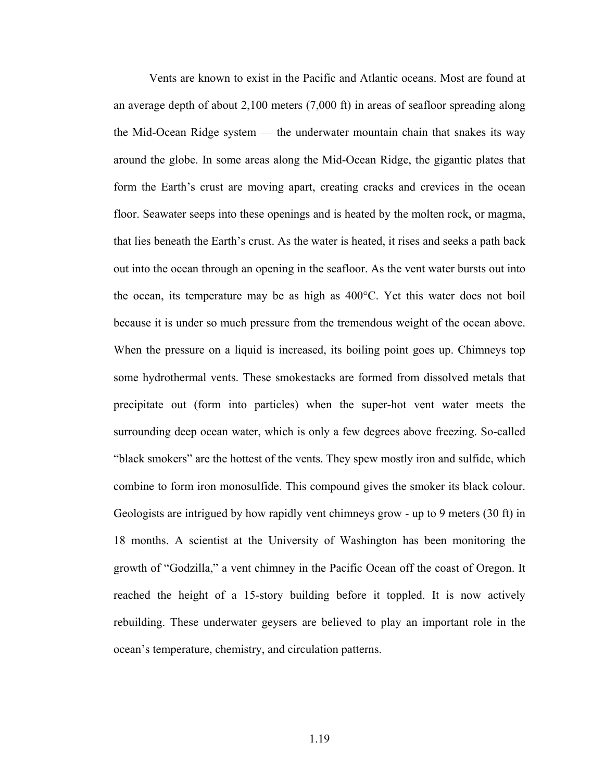Vents are known to exist in the Pacific and Atlantic oceans. Most are found at an average depth of about 2,100 meters (7,000 ft) in areas of seafloor spreading along the Mid-Ocean Ridge system — the underwater mountain chain that snakes its way around the globe. In some areas along the Mid-Ocean Ridge, the gigantic plates that form the Earth's crust are moving apart, creating cracks and crevices in the ocean floor. Seawater seeps into these openings and is heated by the molten rock, or magma, that lies beneath the Earth's crust. As the water is heated, it rises and seeks a path back out into the ocean through an opening in the seafloor. As the vent water bursts out into the ocean, its temperature may be as high as 400°C. Yet this water does not boil because it is under so much pressure from the tremendous weight of the ocean above. When the pressure on a liquid is increased, its boiling point goes up. Chimneys top some hydrothermal vents. These smokestacks are formed from dissolved metals that precipitate out (form into particles) when the super-hot vent water meets the surrounding deep ocean water, which is only a few degrees above freezing. So-called "black smokers" are the hottest of the vents. They spew mostly iron and sulfide, which combine to form iron monosulfide. This compound gives the smoker its black colour. Geologists are intrigued by how rapidly vent chimneys grow - up to 9 meters (30 ft) in 18 months. A scientist at the University of Washington has been monitoring the growth of "Godzilla," a vent chimney in the Pacific Ocean off the coast of Oregon. It reached the height of a 15-story building before it toppled. It is now actively rebuilding. These underwater geysers are believed to play an important role in the ocean's temperature, chemistry, and circulation patterns.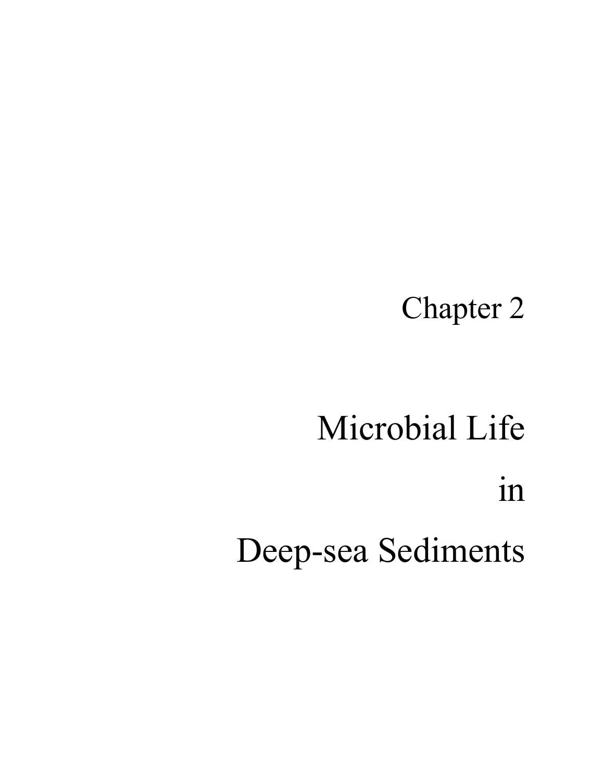## Chapter 2

# Microbial Life in Deep-sea Sediments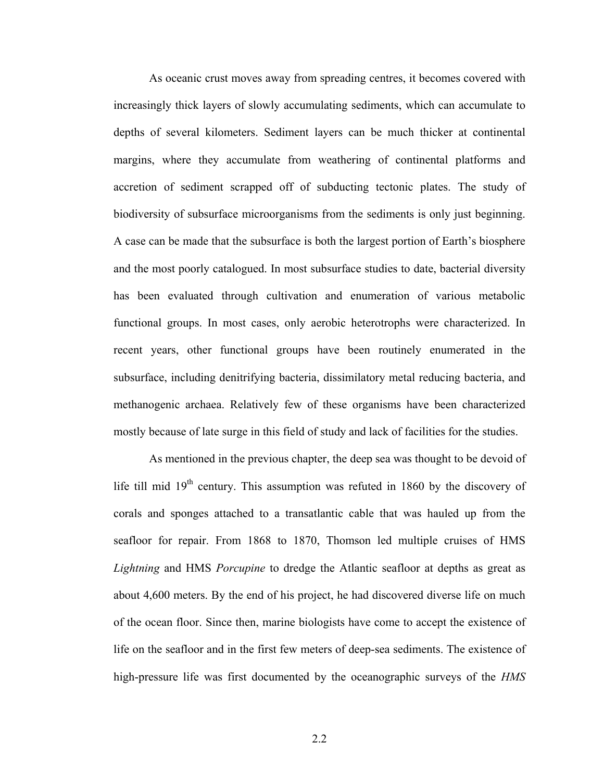As oceanic crust moves away from spreading centres, it becomes covered with increasingly thick layers of slowly accumulating sediments, which can accumulate to depths of several kilometers. Sediment layers can be much thicker at continental margins, where they accumulate from weathering of continental platforms and accretion of sediment scrapped off of subducting tectonic plates. The study of biodiversity of subsurface microorganisms from the sediments is only just beginning. A case can be made that the subsurface is both the largest portion of Earth's biosphere and the most poorly catalogued. In most subsurface studies to date, bacterial diversity has been evaluated through cultivation and enumeration of various metabolic functional groups. In most cases, only aerobic heterotrophs were characterized. In recent years, other functional groups have been routinely enumerated in the subsurface, including denitrifying bacteria, dissimilatory metal reducing bacteria, and methanogenic archaea. Relatively few of these organisms have been characterized mostly because of late surge in this field of study and lack of facilities for the studies.

As mentioned in the previous chapter, the deep sea was thought to be devoid of life till mid  $19<sup>th</sup>$  century. This assumption was refuted in 1860 by the discovery of corals and sponges attached to a transatlantic cable that was hauled up from the seafloor for repair. From 1868 to 1870, Thomson led multiple cruises of HMS *Lightning* and HMS *Porcupine* to dredge the Atlantic seafloor at depths as great as about 4,600 meters. By the end of his project, he had discovered diverse life on much of the ocean floor. Since then, marine biologists have come to accept the existence of life on the seafloor and in the first few meters of deep-sea sediments. The existence of high-pressure life was first documented by the oceanographic surveys of the *HMS*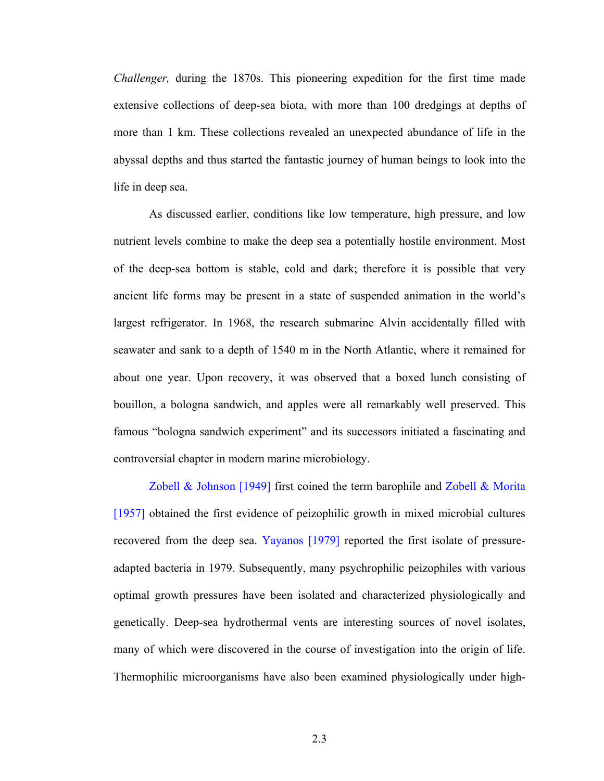*Challenger,* during the 1870s. This pioneering expedition for the first time made extensive collections of deep-sea biota, with more than 100 dredgings at depths of more than 1 km. These collections revealed an unexpected abundance of life in the abyssal depths and thus started the fantastic journey of human beings to look into the life in deep sea.

As discussed earlier, conditions like low temperature, high pressure, and low nutrient levels combine to make the deep sea a potentially hostile environment. Most of the deep-sea bottom is stable, cold and dark; therefore it is possible that very ancient life forms may be present in a state of suspended animation in the world's largest refrigerator. In 1968, the research submarine Alvin accidentally filled with seawater and sank to a depth of 1540 m in the North Atlantic, where it remained for about one year. Upon recovery, it was observed that a boxed lunch consisting of bouillon, a bologna sandwich, and apples were all remarkably well preserved. This famous "bologna sandwich experiment" and its successors initiated a fascinating and controversial chapter in modern marine microbiology.

Zobell  $\&$  Johnson [1949] first coined the term barophile and Zobell  $\&$  Morita [1957] obtained the first evidence of peizophilic growth in mixed microbial cultures recovered from the deep sea. Yayanos [1979] reported the first isolate of pressureadapted bacteria in 1979. Subsequently, many psychrophilic peizophiles with various optimal growth pressures have been isolated and characterized physiologically and genetically. Deep-sea hydrothermal vents are interesting sources of novel isolates, many of which were discovered in the course of investigation into the origin of life. Thermophilic microorganisms have also been examined physiologically under high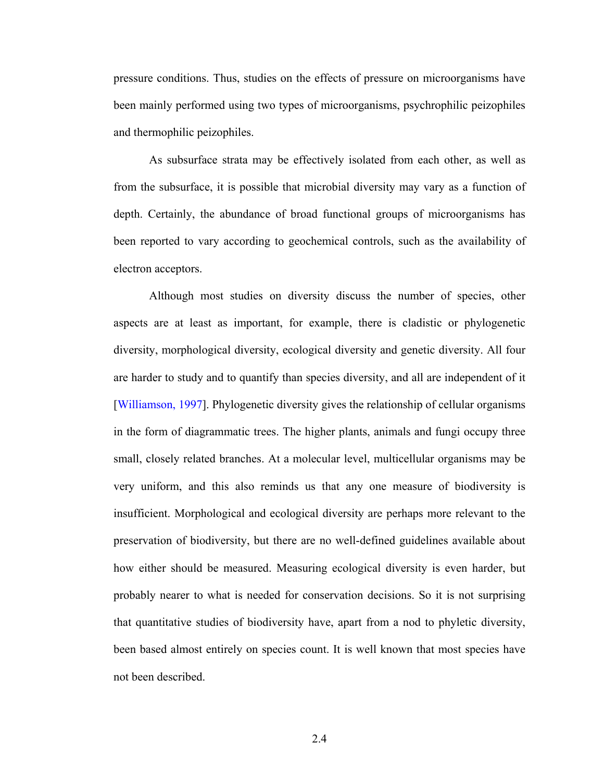pressure conditions. Thus, studies on the effects of pressure on microorganisms have been mainly performed using two types of microorganisms, psychrophilic peizophiles and thermophilic peizophiles.

As subsurface strata may be effectively isolated from each other, as well as from the subsurface, it is possible that microbial diversity may vary as a function of depth. Certainly, the abundance of broad functional groups of microorganisms has been reported to vary according to geochemical controls, such as the availability of electron acceptors.

Although most studies on diversity discuss the number of species, other aspects are at least as important, for example, there is cladistic or phylogenetic diversity, morphological diversity, ecological diversity and genetic diversity. All four are harder to study and to quantify than species diversity, and all are independent of it [Williamson, 1997]. Phylogenetic diversity gives the relationship of cellular organisms in the form of diagrammatic trees. The higher plants, animals and fungi occupy three small, closely related branches. At a molecular level, multicellular organisms may be very uniform, and this also reminds us that any one measure of biodiversity is insufficient. Morphological and ecological diversity are perhaps more relevant to the preservation of biodiversity, but there are no well-defined guidelines available about how either should be measured. Measuring ecological diversity is even harder, but probably nearer to what is needed for conservation decisions. So it is not surprising that quantitative studies of biodiversity have, apart from a nod to phyletic diversity, been based almost entirely on species count. It is well known that most species have not been described.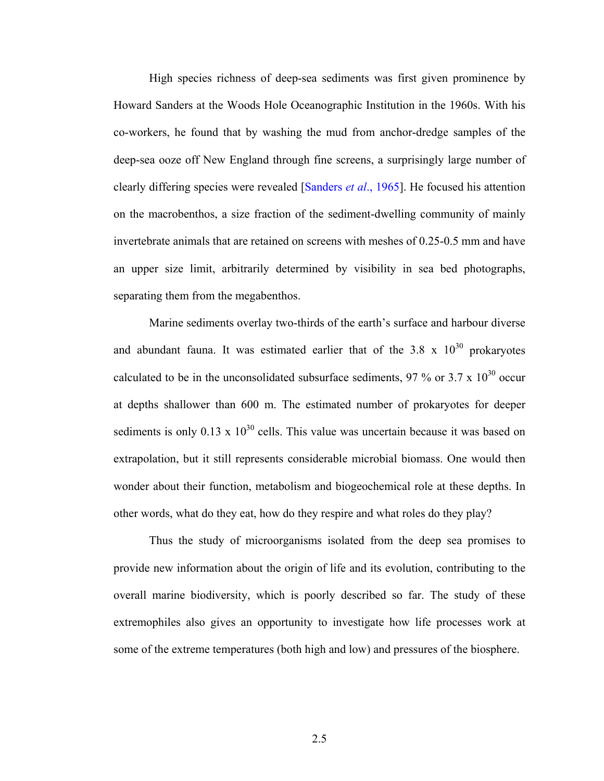High species richness of deep-sea sediments was first given prominence by Howard Sanders at the Woods Hole Oceanographic Institution in the 1960s. With his co-workers, he found that by washing the mud from anchor-dredge samples of the deep-sea ooze off New England through fine screens, a surprisingly large number of clearly differing species were revealed [Sanders *et al*., 1965]. He focused his attention on the macrobenthos, a size fraction of the sediment-dwelling community of mainly invertebrate animals that are retained on screens with meshes of 0.25-0.5 mm and have an upper size limit, arbitrarily determined by visibility in sea bed photographs, separating them from the megabenthos.

Marine sediments overlay two-thirds of the earth's surface and harbour diverse and abundant fauna. It was estimated earlier that of the  $3.8 \times 10^{30}$  prokaryotes calculated to be in the unconsolidated subsurface sediments, 97 % or 3.7 x  $10^{30}$  occur at depths shallower than 600 m. The estimated number of prokaryotes for deeper sediments is only  $0.13 \times 10^{30}$  cells. This value was uncertain because it was based on extrapolation, but it still represents considerable microbial biomass. One would then wonder about their function, metabolism and biogeochemical role at these depths. In other words, what do they eat, how do they respire and what roles do they play?

Thus the study of microorganisms isolated from the deep sea promises to provide new information about the origin of life and its evolution, contributing to the overall marine biodiversity, which is poorly described so far. The study of these extremophiles also gives an opportunity to investigate how life processes work at some of the extreme temperatures (both high and low) and pressures of the biosphere.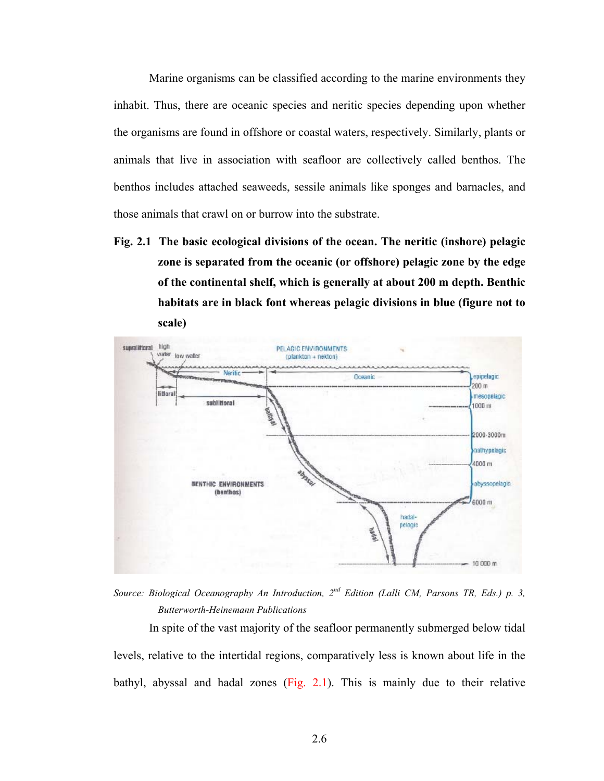Marine organisms can be classified according to the marine environments they inhabit. Thus, there are oceanic species and neritic species depending upon whether the organisms are found in offshore or coastal waters, respectively. Similarly, plants or animals that live in association with seafloor are collectively called benthos. The benthos includes attached seaweeds, sessile animals like sponges and barnacles, and those animals that crawl on or burrow into the substrate.

**Fig. 2.1 The basic ecological divisions of the ocean. The neritic (inshore) pelagic zone is separated from the oceanic (or offshore) pelagic zone by the edge of the continental shelf, which is generally at about 200 m depth. Benthic habitats are in black font whereas pelagic divisions in blue (figure not to scale)** 



*Source: Biological Oceanography An Introduction, 2nd Edition (Lalli CM, Parsons TR, Eds.) p. 3, Butterworth-Heinemann Publications* 

In spite of the vast majority of the seafloor permanently submerged below tidal levels, relative to the intertidal regions, comparatively less is known about life in the bathyl, abyssal and hadal zones (Fig. 2.1). This is mainly due to their relative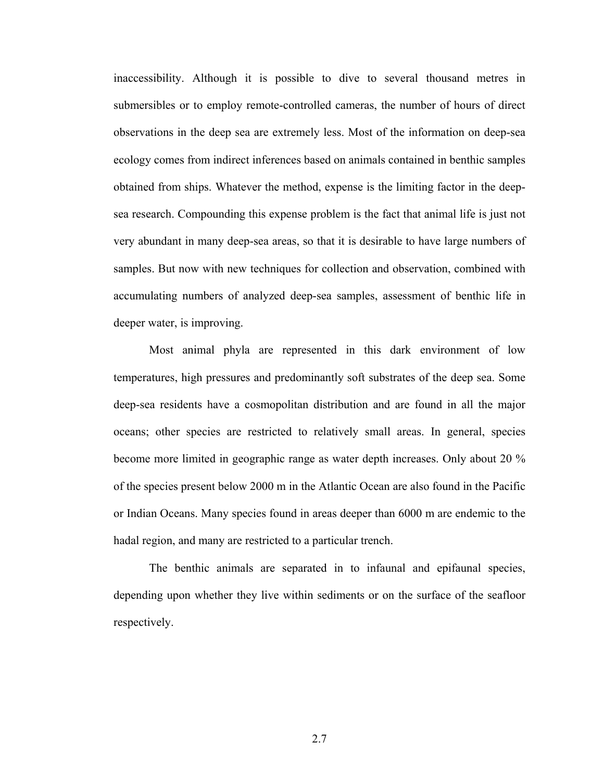inaccessibility. Although it is possible to dive to several thousand metres in submersibles or to employ remote-controlled cameras, the number of hours of direct observations in the deep sea are extremely less. Most of the information on deep-sea ecology comes from indirect inferences based on animals contained in benthic samples obtained from ships. Whatever the method, expense is the limiting factor in the deepsea research. Compounding this expense problem is the fact that animal life is just not very abundant in many deep-sea areas, so that it is desirable to have large numbers of samples. But now with new techniques for collection and observation, combined with accumulating numbers of analyzed deep-sea samples, assessment of benthic life in deeper water, is improving.

Most animal phyla are represented in this dark environment of low temperatures, high pressures and predominantly soft substrates of the deep sea. Some deep-sea residents have a cosmopolitan distribution and are found in all the major oceans; other species are restricted to relatively small areas. In general, species become more limited in geographic range as water depth increases. Only about 20 % of the species present below 2000 m in the Atlantic Ocean are also found in the Pacific or Indian Oceans. Many species found in areas deeper than 6000 m are endemic to the hadal region, and many are restricted to a particular trench.

The benthic animals are separated in to infaunal and epifaunal species, depending upon whether they live within sediments or on the surface of the seafloor respectively.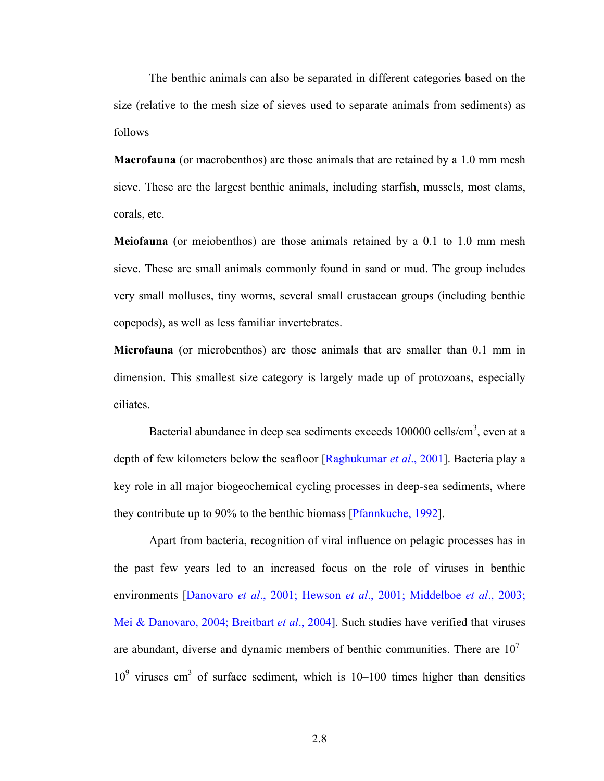The benthic animals can also be separated in different categories based on the size (relative to the mesh size of sieves used to separate animals from sediments) as follows –

**Macrofauna** (or macrobenthos) are those animals that are retained by a 1.0 mm mesh sieve. These are the largest benthic animals, including starfish, mussels, most clams, corals, etc.

**Meiofauna** (or meiobenthos) are those animals retained by a 0.1 to 1.0 mm mesh sieve. These are small animals commonly found in sand or mud. The group includes very small molluscs, tiny worms, several small crustacean groups (including benthic copepods), as well as less familiar invertebrates.

**Microfauna** (or microbenthos) are those animals that are smaller than 0.1 mm in dimension. This smallest size category is largely made up of protozoans, especially ciliates.

Bacterial abundance in deep sea sediments exceeds 100000 cells/cm<sup>3</sup>, even at a depth of few kilometers below the seafloor [Raghukumar *et al*., 2001]. Bacteria play a key role in all major biogeochemical cycling processes in deep-sea sediments, where they contribute up to 90% to the benthic biomass [Pfannkuche, 1992].

Apart from bacteria, recognition of viral influence on pelagic processes has in the past few years led to an increased focus on the role of viruses in benthic environments [Danovaro *et al*., 2001; Hewson *et al*., 2001; Middelboe *et al*., 2003; Mei & Danovaro, 2004; Breitbart *et al*., 2004]. Such studies have verified that viruses are abundant, diverse and dynamic members of benthic communities. There are  $10<sup>7</sup>$  $10<sup>9</sup>$  viruses cm<sup>3</sup> of surface sediment, which is 10–100 times higher than densities